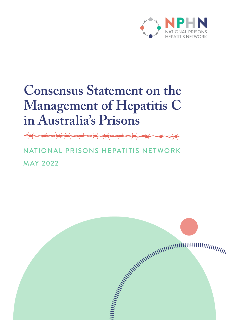

# **Consensus Statement on the Management of Hepatitis C in Australia's Prisons**

NATIONAL PRISONS HEPATITIS NETWORK MAY 2022

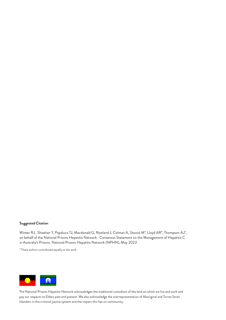#### **Suggested Citation**

Winter RJ, Sheehan Y, Papaluca TJ, Macdonald G, Rowland J, Colman A, Stoové M\*, Lloyd AR\*, Thompson AJ\*, on behalf of the National Prisons Hepatitis Network. Consensus Statement on the Management of Hepatitis C in Australia's Prisons. National Prisons Hepatitis Network (NPHN), May 2022.

\* These authors contributed equally to the work.



The National Prisons Hepatitis Network acknowledges the traditional custodians of the land on which we live and work and pay our respects to Elders past and present. We also acknowledge the overrepresentation of Aboriginal and Torres Strait Islanders in the criminal justice system and the impact this has on community.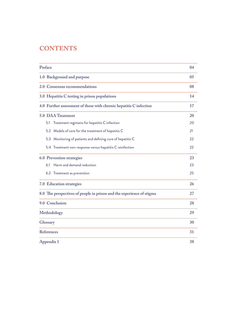# **CONTENTS**

| Preface                                                               | 04 |
|-----------------------------------------------------------------------|----|
| 1.0 Background and purpose                                            | 05 |
| 2.0 Consensus recommendations                                         | 08 |
| 3.0 Hepatitis C testing in prison populations                         | 14 |
| 4.0 Further assessment of those with chronic hepatitis C infection    | 17 |
| 5.0 DAA Treatment                                                     | 20 |
| Treatment regimens for hepatitis C infection<br>5.1                   | 20 |
| 5.2 Models of care for the treatment of hepatitis C                   | 21 |
| 5.3 Monitoring of patients and defining cure of hepatitis C           | 22 |
| 5.4 Treatment non-response versus hepatitis C reinfection             | 22 |
| <b>6.0 Prevention strategies</b>                                      | 23 |
| Harm and demand reduction<br>6.1                                      | 23 |
| 6.2 Treatment as prevention                                           | 25 |
| 7.0 Education strategies                                              | 26 |
| 8.0 The perspectives of people in prison and the experience of stigma | 27 |
| 9.0 Conclusion                                                        | 28 |
| Methodology                                                           | 29 |
| Glossary                                                              | 30 |
| References                                                            | 31 |
| Appendix 1                                                            | 38 |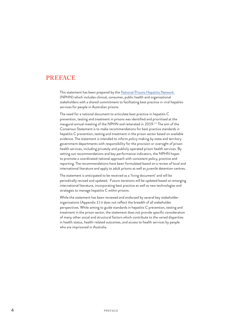# <span id="page-3-0"></span>**PREFACE**

This statement has been prepared by the [National Prisons Hepatitis Network](https://www.nphn.net.au/)  (NPHN) which includes clinical, consumer, public health and organisational stakeholders with a shared commitment to facilitating best practice in viral hepatitis services for people in Australian prisons.

The need for a national document to articulate best practice in hepatitis C prevention, testing and treatment in prisons was identified and prioritised at the inaugural annual meeting of the NPHN and reiterated in 2019.<sup>1,2</sup> The aim of the Consensus Statement is to make recommendations for best practice standards in hepatitis C prevention, testing and treatment in the prison sector based on available evidence. The statement is intended to inform policy making by state and territory government departments with responsibility for the provision or oversight of prison health services, including privately and publicly operated prison health services. By setting out recommendations and key performance indicators, the NPHN hopes to promote a coordinated national approach with consistent policy, practice and reporting. The recommendations have been formulated based on a review of local and international literature and apply to adult prisons as well as juvenile detention centres.

The statement is anticipated to be received as a 'living document' and will be periodically revised and updated. Future iterations will be updated based on emerging international literature, incorporating best practice as well as new technologies and strategies to manage hepatitis C within prisons.

While the statement has been reviewed and endorsed by several key stakeholder organisations (Appendix 1) it does not reflect the breadth of all stakeholder perspectives. While aiming to guide standards in hepatitis C prevention, testing and treatment in the prison sector, the statement does not provide specific consideration of many other social and structural factors which contribute to the varied disparities in health status, health-related outcomes, and access to health services by people who are imprisoned in Australia.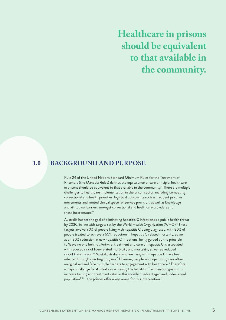# <span id="page-4-0"></span>**Healthcare in prisons should be equivalent to that available in the community.**

#### **BACKGROUND AND PURPOSE 1.0**

Rule 24 of the United Nations Standard Minimum Rules for the Treatment of Prisoners (the Mandela Rules) defines the equivalence of care principle: healthcare in prisons should be equivalent to that available in the community.<sup>3</sup> There are multiple challenges to healthcare implementation in the prison sector, including competing correctional and health priorities, logistical constraints such as frequent prisoner movements and limited clinical space for service provision, as well as knowledge and attitudinal barriers amongst correctional and healthcare providers and those incarcerated.<sup>4</sup>

Australia has set the goal of eliminating hepatitis C infection as a public health threat by 2030, in line with targets set by the World Health Organization (WHO).<sup>5</sup> These targets involve 90% of people living with hepatitis C being diagnosed, with 80% of people treated to achieve a 65% reduction in hepatitis C related mortality, as well as an 80% reduction in new hepatitis C infections, being guided by the principle to 'leave no one behind'. Antiviral treatment and cure of hepatitis C is associated with reduced risk of liver-related morbidity and mortality, as well as reduced risk of transmission.<sup>6</sup> Most Australians who are living with hepatitis C have been infected through injecting drug use.<sup>7</sup> However, people who inject drugs are often marginalised and face multiple barriers to engagement with healthcare.8 Therefore, a major challenge for Australia in achieving the hepatitis C elimination goals is to increase testing and treatment rates in this socially disadvantaged and underserved population $9,10 -$  the prisons offer a key venue for this intervention.<sup>11</sup>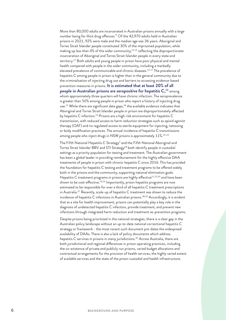More than 80,000 adults are incarcerated in Australian prisons annually with a large number being for illicit drug offences.<sup>12</sup> Of the 42,970 adults held in Australian prisons in 2021, 92% were male and the median age was 36 years. Aboriginal and Torres Strait Islander people constituted 30% of the imprisoned population, while making up less than  $4\%$  of the wider community, $12,13$  reflecting the disproportionate incarceration of Aboriginal and Torres Strait Islander people in every state and territory.<sup>12</sup> Both adults and young people in prison have poor physical and mental health compared with people in the wider community, including a markedly elevated prevalence of communicable and chronic diseases.<sup>14-17</sup> The prevalence of hepatitis C among people in prison is higher than in the general community due to the criminalisation of injecting drug use and barriers to accessing evidence-based prevention measures in prisons. **It is estimated that at least 20% of all people in Australian prisons are seropositive for hepatitis C, <sup>15</sup> among** whom approximately three quarters will have chronic infection. The seroprevalence is greater than 50% among people in prison who report a history of injecting drug use.<sup>15</sup> While there are significant data gaps,<sup>18</sup> the available evidence indicates that Aboriginal and Torres Strait Islander people in prison are disproportionately affected by hepatitis C infection.<sup>19</sup> Prisons are a high-risk environment for hepatitis C transmission, with reduced access to harm reduction strategies such as opioid agonist therapy (OAT) and no regulated access to sterile equipment for injecting, tattooing or body modification practices. The annual incidence of hepatitis C transmissions among people who inject drugs in NSW prisons is approximately 11%.<sup>19-22</sup>

The Fifth National Hepatitis C Strategy<sup>5</sup> and the Fifth National Aboriginal and Torres Strait Islander BBV and STI Strategy<sup>18</sup> both identify people in custodial settings as a priority population for testing and treatment. The Australian government has been a global leader in providing reimbursement for the highly effective DAA treatments of people in prison with chronic hepatitis C since 2016. This has provided the foundation for hepatitis C testing and treatment programs to be offered widely both in the prisons and the community, supporting national elimination goals. Hepatitis C treatment programs in prisons are highly effective<sup>11,23,24</sup> and have been shown to be cost-effective.<sup>25,26</sup> Importantly, prison hepatitis programs are now estimated to be responsible for over a third of all hepatitis C treatment prescriptions in Australia.27 Recently, scale-up of hepatitis C treatment was shown to reduce the incidence of hepatitis C infections in Australian prisons.<sup>28,29</sup> Accordingly, it is evident that as a site for health improvement, prisons can potentially play a key role in the diagnosis of undetected hepatitis C infection, provide treatment, and prevent new infections through integrated harm reduction and treatment-as-prevention programs.

Despite prisons being prioritized in the national strategies, there is a clear gap in the Australian policy landscape without an up-to-date national correctional hepatitis C strategy or framework - the most recent such document pre-dates the widespread availability of DAAs. There is also a lack of policy documents which address hepatitis C services in prisons in many jurisdictions.<sup>30</sup> Across Australia, there are both jurisdictional and regional differences in prison operating practices, including the co-existence of private and publicly run prisons, varied budget allocations and contractual arrangements for the provision of health services, the highly varied extent of available services and the state of the prison custodial and health infrastructure.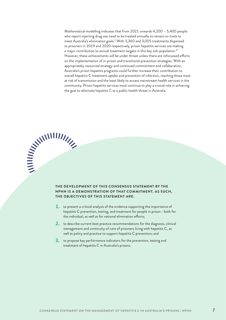Mathematical modelling indicates that from 2021 onwards 4,200 – 5,400 people who report injecting drug use need to be treated annually to remain on track to meet Australia's elimination goals.9 With 3,360 and 3,005 treatments dispensed to prisoners in 2019 and 2020 respectively, prison hepatitis services are making a major contribution to annual treatment targets in this key sub-population.<sup>27</sup> However, these achievements will be under threat unless there are refocussed efforts on the implementation of in-prison and transitional prevention strategies. With an appropriately resourced strategy and continued commitment and collaboration, Australia's prison hepatitis programs could further increase their contribution to overall hepatitis C treatment uptake and prevention of infection, reaching those most at risk of transmission and the least likely to access mainstream health services in the community. Prison hepatitis services must continue to play a crucial role in achieving the goal to eliminate hepatitis C as a public health threat in Australia.

# **SANITARY SERVICES THE DEVELOPMENT OF THIS CONSENSUS STATEMENT BY THE NPHN IS A DEMONSTRATION OF THAT COMMITMENT. AS SUCH, THE OBJECTIVES OF THIS STATEMENT ARE:**

- **1.** to present a critical analysis of the evidence supporting the importance of hepatitis C prevention, testing, and treatment for people in prison - both for the individual, as well as for national elimination efforts;
- 2. to describe current best practice recommendations for the diagnosis, clinical management and continuity of care of prisoners living with hepatitis C, as well as policy and practice to support hepatitis C prevention; and
- 3. to propose key performance indicators for the prevention, testing and treatment of hepatitis C in Australia's prisons.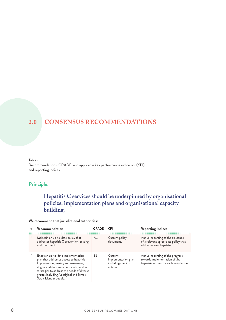#### <span id="page-7-0"></span>**CONSENSUS RECOMMENDATIONS 2.0**

#### Tables:

Recommendations, GRADE, and applicable key performance indicators (KPI) and reporting indices

# **Principle:**

# **Hepatitis C services should be underpinned by organisational policies, implementation plans and organisational capacity building.**

#### **We recommend that jurisdictional authorities:**

| # | Recommendation                                                                                                                                                                                                                                                                       | <b>GRADE KPI</b> |                                                                   | <b>Reporting Indices</b>                                                                                        |
|---|--------------------------------------------------------------------------------------------------------------------------------------------------------------------------------------------------------------------------------------------------------------------------------------|------------------|-------------------------------------------------------------------|-----------------------------------------------------------------------------------------------------------------|
|   | Maintain an up-to-date policy that<br>addresses hepatitis C prevention, testing<br>and treatment.                                                                                                                                                                                    | A1               | Current policy<br>document.                                       | Annual reporting of the existence<br>of a relevant up-to-date policy that<br>addresses viral hepatitis.         |
|   | Enact an up-to-date implementation<br>plan that addresses access to hepatitis<br>C prevention, testing and treatment,<br>stigma and discrimination, and specifies<br>strategies to address the needs of diverse<br>groups including Aboriginal and Torres<br>Strait Islander people. | <b>B1</b>        | Current<br>implementation plan,<br>including specific<br>actions. | Annual reporting of the progress<br>towards implementation of viral<br>hepatitis actions for each jurisdiction. |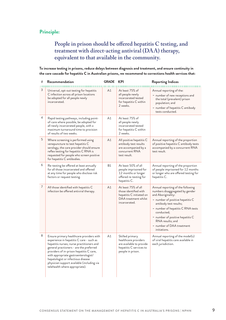# **People in prison should be offered hepatitis C testing, and treatment with direct-acting antiviral (DAA) therapy, equivalent to that available in the community.**

#### **To increase testing in prisons, reduce delays between diagnosis and treatment, and ensure continuity in the care cascade for hepatitis C in Australian prisons, we recommend to corrections health services that:**

| # | Recommendation                                                                                                                                                                                                                                                                                                                                                                         | <b>GRADE</b> | <b>KPI</b>                                                                                                          | <b>Reporting Indices</b>                                                                                                                                                                                                                                                                                         |
|---|----------------------------------------------------------------------------------------------------------------------------------------------------------------------------------------------------------------------------------------------------------------------------------------------------------------------------------------------------------------------------------------|--------------|---------------------------------------------------------------------------------------------------------------------|------------------------------------------------------------------------------------------------------------------------------------------------------------------------------------------------------------------------------------------------------------------------------------------------------------------|
| 3 | Universal, opt-out testing for hepatitis<br>C infection across all prison locations<br>be adopted for all people newly<br>incarcerated.                                                                                                                                                                                                                                                | A1           | At least 75% of<br>all people newly<br>incarcerated tested<br>for hepatitis C within<br>2 weeks.                    | Annual reporting of the:<br>- number of new receptions and<br>the total (prevalent) prison<br>population; and<br>- number of hepatitis C antibody<br>tests conducted.                                                                                                                                            |
| 4 | Rapid testing pathways, including point-<br>of-care where possible, be adopted for<br>all newly incarcerated people, with a<br>maximum turnaround time to provision<br>of results of two weeks.                                                                                                                                                                                        | A1           | At least 75% of<br>all people newly<br>incarcerated tested<br>for hepatitis C within<br>2 weeks.                    |                                                                                                                                                                                                                                                                                                                  |
| 5 | Where screening is performed using<br>venepuncture to test hepatitis C<br>serology, the care provider should ensure<br>reflex testing for hepatitis C RNA is<br>requested for people who screen positive<br>for hepatitis C antibodies.                                                                                                                                                | A1           | All positive hepatitis C<br>antibody test results<br>are accompanied by a<br>concurrent RNA<br>test result.         | Annual reporting of the proportion<br>of positive hepatitis C antibody tests<br>accompanied by a concurrent RNA<br>test result.                                                                                                                                                                                  |
| 6 | Re-testing be offered at least annually<br>for all those incarcerated and offered<br>at any time for people who disclose risk<br>factors or request testing.                                                                                                                                                                                                                           | <b>B1</b>    | At least 50% of all<br>people imprisoned for<br>12 months or longer<br>offered re-testing for<br>hepatitis C.       | Annual reporting of the proportion<br>of people imprisoned for 12 months<br>or longer who are offered testing for<br>hepatitis C.                                                                                                                                                                                |
| 7 | All those identified with hepatitis C<br>infection be offered antiviral therapy.                                                                                                                                                                                                                                                                                                       | A1           | At least 75% of all<br>those identified with<br>hepatitis C initiated on<br>DAA treatment whilst<br>incarcerated.   | Annual reporting of the following<br>numbers disaggregated by gender<br>and Aboriginality:<br>- number of positive hepatitis C<br>antibody test results;<br>- number of hepatitis C RNA tests<br>conducted;<br>- number of positive hepatitis C<br>RNA results; and<br>- number of DAA treatment<br>initiations. |
| 8 | Ensure primary healthcare providers with<br>experience in hepatitis C care - such as<br>hepatitis nurses; nurse practitioners and<br>general practioners - are the preferred<br>providers of in-prison hepatitis C care,<br>with appropriate gastroenterologist/<br>hepatologist or infectious disease<br>physician support available (including via<br>telehealth where appropriate). | Α1           | Skilled primary<br>healthcare providers<br>are available to provide<br>hepatitis C services to<br>people in prison. | Annual reporting of the model(s)<br>of viral hepatitis care available in<br>each jurisdiction.                                                                                                                                                                                                                   |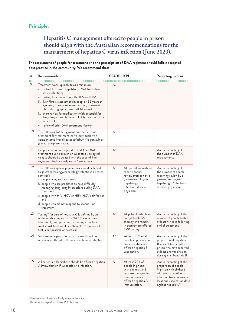# **Hepatitis C management offered to people in prison should align with the Australian recommendations for the**  management of hepatitis C virus infection (June 2020).<sup>31</sup>

**The assessment of people for treatment and the prescription of DAA regimens should follow accepted best practice in the community. We recommend that:**

| #  | Recommendation                                                                                                                                                                                                                                                                                                                                                                                                                                                                               | <b>GRADE KPI</b> |                                                                                                                                                | <b>Reporting Indices</b>                                                                                                                                                                  |
|----|----------------------------------------------------------------------------------------------------------------------------------------------------------------------------------------------------------------------------------------------------------------------------------------------------------------------------------------------------------------------------------------------------------------------------------------------------------------------------------------------|------------------|------------------------------------------------------------------------------------------------------------------------------------------------|-------------------------------------------------------------------------------------------------------------------------------------------------------------------------------------------|
| 9  | Treatment work-up include as a minimum:<br>i. testing for serum hepatitis C RNA to confirm<br>active infection;<br>ii. testing for coinfection with HBV and HIV;<br>iii. liver fibrosis assessment in people > 35 years of<br>age using non-invasive markers (e.g. transient<br>fibro-elastography, serum APRI score);<br>iv. chart review for medications with potential for<br>drug-drug interactions with DAA treatments for<br>hepatitis C;<br>v. review of prior DAA treatment history. | Α1               |                                                                                                                                                |                                                                                                                                                                                           |
| 10 | The following DAA regimens are the first-line<br>treatment for treatment-naïve individuals with<br>compensated liver disease: sofosbuvir/velpatasvir or<br>glecaprevir/pibrentasvir.                                                                                                                                                                                                                                                                                                         | A <sub>1</sub>   |                                                                                                                                                |                                                                                                                                                                                           |
| 11 | People who do not respond to first-line DAA<br>treatment due to proven or suspected virological<br>relapse should be treated with the second-line<br>regimen sofosbuvir/velpatasvir/voxilaprevir.                                                                                                                                                                                                                                                                                            | A1               |                                                                                                                                                | Annual reporting of<br>the number of DAA<br>retreatments.                                                                                                                                 |
| 12 | The following special populations should be linked<br>to gastroenterology/hepatology/infectious diseases<br>services <sup>*</sup> :<br>a. people living with cirrhosis;<br>b. people who are predicted to have difficulty<br>managing drug-drug interactions during DAA<br>treatment;<br>c. people with HIV-HCV or HBV-HCV coinfection;<br>and<br>d. people who did not respond to second-line<br>treatment.                                                                                 | A1               | All special populations<br>receive annual<br>review overseen by a<br>gastroenterologist/<br>hepatologist/<br>infectious diseases<br>physician. | Annual reporting of<br>the number of people<br>receiving review by a<br>gastroenterologist/<br>hepatologist/infectious<br>diseases physician.                                             |
| 13 | Testing <sup>†</sup> for cure of hepatitis $C$ is defined by an<br>undetectable hepatitis C RNA 12 weeks post-<br>treatment, but opportunistic testing after four<br>weeks post-treatment is sufficient <sup>32,33</sup> if a week 12<br>test is not possible or practical.                                                                                                                                                                                                                  | A1               | All patients who have<br>completed DAA<br>therapy and remain<br>in custody are offered<br>SVR testing.                                         | Annual reporting of the<br>number of people tested<br>at least 4 weeks following<br>end of treatment.                                                                                     |
| 14 | Vaccination against hepatitis B virus should be<br>universally offered to those susceptible to infection.                                                                                                                                                                                                                                                                                                                                                                                    | A1               | At least 90% of all<br>people in prison who<br>are susceptible are<br>offered hepatitis B<br>vaccination.                                      | Annual reporting of the<br>proportion of hepatitis<br>B susceptible people in<br>prison who have received<br>at least one vaccination<br>dose against hepatitis B.                        |
| 15 | All patients with cirrhosis should be offered hepatitis<br>A immunisation if susceptible to infection.                                                                                                                                                                                                                                                                                                                                                                                       | A1               | At least 90% of<br>people in prison<br>with cirrhosis and<br>who are susceptible<br>to infection are<br>offered hepatitis A<br>immunisation.   | Annual reporting of the<br>proportion of people<br>in prison with cirrhosis<br>who are susceptible to<br>infection have received at<br>least one vaccination dose<br>against hepatitis A. |

\*Remote consultation is likely to expedite care. †This may be expedited using PoC testing.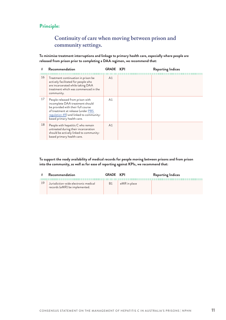# **Continuity of care when moving between prison and community settings.**

**To minimise treatment interruptions and linkage to primary health care, especially where people are released from prison prior to completing a DAA regimen, we recommend that:**

| #  | Recommendation                                                                                                                                                                                                           | <b>GRADE</b> | <b>KPI</b> | <b>Reporting Indices</b> |
|----|--------------------------------------------------------------------------------------------------------------------------------------------------------------------------------------------------------------------------|--------------|------------|--------------------------|
| 16 | Treatment continuation in prison be<br>actively facilitated for people who<br>are incarcerated while taking DAA<br>treatment which was commenced in the<br>community.                                                    | A1           |            |                          |
| 17 | People released from prison with<br>incomplete DAA treatment should<br>be provided with their full course<br>of treatment at release (under PBS<br>regulation 49) and linked to community-<br>based primary health care. | A1           |            |                          |
| 18 | People with hepatitis C who remain<br>untreated during their incarceration<br>should be actively linked to community-<br>based primary health care.                                                                      | A1           |            |                          |

**To support the ready availability of medical records for people moving between prisons and from prison into the community, as well as for ease of reporting against KPIs, we recommend that:**

|    | Recommendation                                                        | <b>GRADE KPI</b> |              | <b>Reporting Indices</b> |
|----|-----------------------------------------------------------------------|------------------|--------------|--------------------------|
| 19 | Jurisdiction-wide electronic medical<br>records (eMR) be implemented. | <b>B</b> 1       | eMR in place |                          |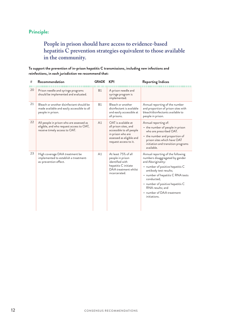# **People in prison should have access to evidence-based hepatitis C prevention strategies equivalent to those available in the community.**

#### **To support the prevention of in-prison hepatitis C transmissions, including new infections and reinfections, in each jurisdiction we recommend that:**

| #  | Recommendation                                                                                                        | <b>GRADE</b> | KPI                                                                                                                                                | <b>Reporting Indices</b>                                                                                                                                                                                                                                                                                         |
|----|-----------------------------------------------------------------------------------------------------------------------|--------------|----------------------------------------------------------------------------------------------------------------------------------------------------|------------------------------------------------------------------------------------------------------------------------------------------------------------------------------------------------------------------------------------------------------------------------------------------------------------------|
| 20 | Prison needle and syringe programs<br>should be implemented and evaluated.                                            | <b>B1</b>    | A prison needle and<br>syringe program is<br>implemented.                                                                                          |                                                                                                                                                                                                                                                                                                                  |
| 21 | Bleach or another disinfectant should be<br>made available and easily accessible to all<br>people in prison.          | <b>B1</b>    | Bleach or another<br>disinfectant is available<br>and easily accessible at<br>all prisons.                                                         | Annual reporting of the number<br>and proportion of prison sites with<br>bleach/disinfectants available to<br>people in prison.                                                                                                                                                                                  |
| 22 | All people in prison who are assessed as<br>eligible, and who request access to OAT,<br>receive timely access to OAT. | A1           | OAT is available at<br>all prison sites, and<br>accessible to all people<br>in prison who are<br>assessed as eligible and<br>request access to it. | Annual reporting of:<br>- the number of people in prison<br>who are prescribed OAT.<br>- the number and proportion of<br>prison sites which have OAT<br>initiation and transition programs<br>available.                                                                                                         |
| 23 | High coverage DAA treatment be<br>implemented to establish a treatment-<br>as-prevention effect.                      | A1           | At least 75% of all<br>people in prison<br>identified with<br>hepatitis C initiate<br>DAA treatment whilst<br>incarcerated.                        | Annual reporting of the following<br>numbers disaggregated by gender<br>and Aboriginality:<br>- number of positive hepatitis C<br>antibody test results;<br>- number of hepatitis C RNA tests<br>conducted;<br>- number of positive hepatitis C<br>RNA results; and<br>- number of DAA treatment<br>initiations. |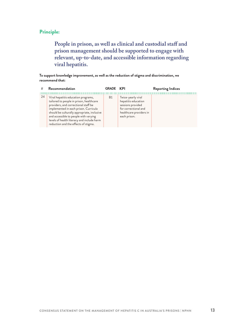**People in prison, as well as clinical and custodial staff and prison management should be supported to engage with relevant, up-to-date, and accessible information regarding viral hepatitis.**

#### **To support knowledge improvement, as well as the reduction of stigma and discrimination, we recommend that:**

| #  | Recommendation                                                                                                                                                                                                                                                                                                                                 | <b>GRADE KPI</b> |                                                                                                                                   | <b>Reporting Indices</b> |
|----|------------------------------------------------------------------------------------------------------------------------------------------------------------------------------------------------------------------------------------------------------------------------------------------------------------------------------------------------|------------------|-----------------------------------------------------------------------------------------------------------------------------------|--------------------------|
| 24 | Viral hepatitis education programs,<br>tailored to people in prison, healthcare<br>providers, and correctional staff be<br>implemented in each prison. Curricula<br>should be culturally appropriate, inclusive<br>and accessible to people with varying<br>levels of health literacy and include harm<br>reduction and the effects of stigma. | B1               | Twice-yearly viral<br>hepatitis education<br>sessions provided<br>for correctional and<br>healthcare providers in<br>each prison. |                          |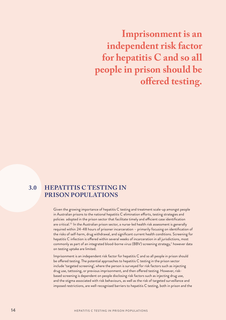<span id="page-13-0"></span>**Imprisonment is an independent risk factor for hepatitis C and so all people in prison should be offered testing.**

#### **HEPATITIS C TESTING IN PRISON POPULATIONS 3.0**

Given the growing importance of hepatitis C testing and treatment scale-up amongst people in Australian prisons to the national hepatitis C elimination efforts, testing strategies and policies adopted in the prison sector that facilitate timely and efficient case identification are critical.<sup>11</sup> In the Australian prison sector, a nurse-led health risk assessment is generally required within 24-48 hours of prisoner incarceration – primarily focusing on identification of the risks of self-harm, drug withdrawal, and significant current health conditions. Screening for hepatitis C infection is offered within several weeks of incarceration in all jurisdictions, most commonly as part of an integrated blood-borne virus (BBV) screening strategy,<sup>1</sup> however data on testing uptake are limited.

Imprisonment is an independent risk factor for hepatitis C and so all people in prison should be offered testing. The potential approaches to hepatitis C testing in the prison sector include 'targeted screening', where the person is surveyed for risk factors such as injecting drug use, tattooing, or previous imprisonment, and then offered testing. However, riskbased screening is dependent on people disclosing risk factors such as injecting drug use, and the stigma associated with risk behaviours, as well as the risk of targeted surveillance and imposed restrictions, are well-recognised barriers to hepatitis C testing, both in prison and the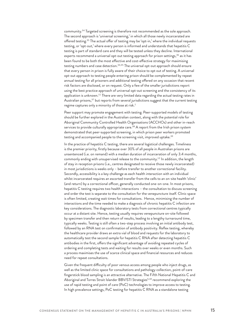community.34 Targeted screening is therefore not recommended as the sole approach. The second approach is 'universal screening,' in which all those newly incarcerated are offered testing.35 The actual offer of testing may be 'opt-in,' where the individual requests testing, or 'opt-out,' where every person is informed and understands that hepatitis C testing is part of standard care and they will be tested unless they decline. International experts recommend a universal opt-out testing approach for prison settings,<sup>36</sup> as it has been found to be both the most effective and cost-effective strategy for maximising testing numbers and case detection.34,35 The universal opt-out approach should ensure that every person in prison is fully aware of their choice to opt out of testing. A universal opt-out approach to testing people entering prison should be complemented by repeat annual testing for all prisoners and additional testing offered on any occasion that recent risk factors are disclosed, or on request. Only a few of the smaller jurisdictions report using the best practice approach of universal opt-out screening and the consistency of its application is unknown.<sup>11</sup> There are very limited data regarding the actual testing rates in Australian prisons,<sup>37</sup> but reports from several jurisdictions suggest that the current testing regime captures only a minority of those at risk.<sup>1</sup>

Peer support may promote engagement with testing. Peer-supported models of testing should be further explored in the Australian context, along with the potential role for Aboriginal Community Controlled Health Organisations (ACCHOs) and other in-reach services to provide culturally appropriate care.<sup>38</sup> A report from the Irish prison system demonstrated that peer-supported screening, in which prison peer workers promoted testing and accompanied people to the screening visit, improved uptake.<sup>39</sup>

In the practice of hepatitis C testing, there are several logistical challenges. Timeliness is the premier priority, firstly because over 30% of all people in Australian prisons are unsentenced (i.e. on remand) with a median duration of incarceration of only 3.4 months, commonly ending with unsupervised release to the community.<sup>12</sup> In addition, the length of stay in reception prisons (i.e., centres designated to receive those newly incarcerated) in most jurisdictions is weeks only – before transfer to another correctional facility. Secondly, accessibility is a key challenge as each health interaction with an individual whilst incarcerated requires an escorted transfer from the cells to an on-site health 'clinic' (and return) by a correctional officer, generally conducted one-on-one. In most prisons, hepatitis C testing requires two health interactions – the consultation to discuss screening and order the test is separate to the consultation for the venepuncture itself. Clinic space is often limited, creating wait times for consultations. Hence, minimising the number of interactions and the time needed to make a diagnosis of chronic hepatitis C infection are key considerations. The diagnostic laboratory tests from correctional centres typically occur at a distant site. Hence, testing usually requires venepuncture on-site followed by specimen transfer and then return of results, leading to a lengthy turnaround time, typically weeks. Testing is still often a two-step process involving an initial antibody test, followed by an RNA test on confirmation of antibody positivity. Reflex testing, whereby the healthcare provider draws an extra vial of blood and requests for the laboratory to automatically test the second sample for hepatitis C RNA after detecting hepatitis C antibodies in the first, offers the significant advantage of avoiding repeated cycles of ordering and completing tests and waiting for results over weeks or even months. Such a process maximises the use of scarce clinical space and financial resources and reduces need for repeat consultations.

Given the frequent difficulty of poor venous access among people who inject drugs, as well as the limited clinic space for consultations and pathology collection, point-of-care fingerstick blood sampling is an attractive alternative. The Fifth National Hepatitis C and Aboriginal and Torres Strait Islander BBV/STI Strategies<sup>5,18</sup> recommend exploring the use of rapid testing and point of care (PoC) technologies to improve access to testing. In high prevalence settings, PoC testing for hepatitis C RNA as a standalone testing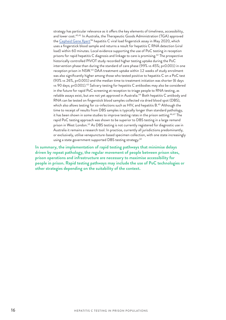strategy has particular relevance as it offers the key elements of timeliness, accessibility, and lower cost.<sup>40,41</sup> In Australia, the Therapeutic Goods Administration (TGA) approved the [Cepheid Gene Xpert™](https://www.cepheid.com/en/tests/Virology/Xpert-HCV-Viral-Load) hepatitis C viral load fingerstick assay in May 2020, which uses a fingerstick blood sample and returns a result for hepatitis C RNA detection (viral load) within 60 minutes. Local evidence supporting the use of PoC testing in reception prisons for rapid hepatitis C diagnosis and linkage to care is promising.<sup>42</sup> The prospective historically controlled PIVOT study recorded higher testing uptake during the PoC intervention phase than during the standard of care phase (99% vs 45%; p<0.001) in one reception prison in NSW.43 DAA treatment uptake within 12 weeks of study enrolment was also significantly higher among those who tested positive to hepatitis C on a PoC test (93% vs 26%, p<0.001) and the median time to treatment initiation was shorter (6 days vs 90 days; p<0.001).<sup>43</sup> Salivary testing for hepatitis C antibodies may also be considered in the future for rapid PoC screening at reception to triage people to RNA testing, as reliable assays exist, but are not yet approved in Australia.<sup>44</sup> Both hepatitis C antibody and RNA can be tested on fingerstick blood samples collected via dried blood spot (DBS), which also allows testing for co-infections such as  $HIV$ , and hepatitis B.<sup>45</sup> Although the time to receipt of results from DBS samples is typically longer than standard pathology, it has been shown in some studies to improve testing rates in the prison setting.<sup>46,47</sup> The rapid PoC testing approach was shown to be superior to DBS testing in a large remand prison in West London.<sup>10</sup> As DBS testing is not currently registered for diagnostic use in Australia it remains a research tool. In practice, currently all jurisdictions predominantly, or exclusively, utilise venepuncture-based specimen collection, with one state increasingly using a state government supported DBS testing strategy.<sup>42</sup>

**In summary, the implementation of rapid testing pathways that minimise delays driven by repeat pathology, the regular movement of people between prison sites, prison operations and infrastructure are necessary to maximise accessibility for people in prison. Rapid testing pathways may include the use of PoC technologies or other strategies depending on the suitability of the context.**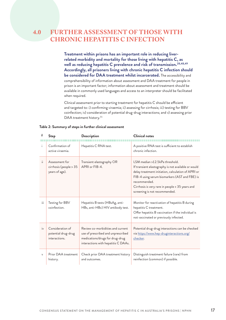#### <span id="page-16-0"></span>**FURTHER ASSESSMENT OF THOSE WITH CHRONIC HEPATITIS C INFECTION 4.0**

**Treatment within prisons has an important role in reducing liverrelated morbidity and mortality for those living with hepatitis C, as well as reducing hepatitis C prevalence and risk of transmission.28,48,49 Accordingly, all prisoners living with chronic hepatitis C infection should be considered for DAA treatment whilst incarcerated.** The accessibility and comprehensibility of information about assessment and DAA treatment for people in prison is an important factor; information about assessment and treatment should be available in commonly used languages and access to an interpreter should be facilitated when required.

Clinical assessment prior to starting treatment for hepatitis C should be efficient and targeted to: i) confirming viraemia; ii) assessing for cirrhosis; iii) testing for BBV coinfection; iv) consideration of potential drug-drug interactions; and v) assessing prior DAA treatment history.<sup>31</sup>

| i.            | Confirmation of<br>active viraemia.                        | Hepatitis C RNA test.                                                                                                                             | A positive RNA test is sufficient to establish<br>chronic infection.                                                                                                                                                                                                                             |
|---------------|------------------------------------------------------------|---------------------------------------------------------------------------------------------------------------------------------------------------|--------------------------------------------------------------------------------------------------------------------------------------------------------------------------------------------------------------------------------------------------------------------------------------------------|
| ii.           | Assessment for<br>cirrhosis (people > 35<br>years of age). | Transient elastography OR<br>APRI or FIB-4.                                                                                                       | LSM median >12.5kPa threshold.<br>If transient elastography is not available or would<br>delay treatment initiation, calculation of APRI or<br>FIB-4 using serum biomarkers (AST and FBE) is<br>recommended.<br>Cirrhosis is very rare in people < 35 years and<br>screening is not recommended. |
| iii           | Testing for BBV<br>coinfection.                            | Hepatitis B tests (HBsAg, anti-<br>HBs, anti-HBc) HIV antibody test.                                                                              | Monitor for reactivation of hepatitis B during<br>hepatitis C treatment.<br>Offer hepatitis B vaccination if the individual is<br>not vaccinated or previously infected.                                                                                                                         |
| $\frac{1}{1}$ | Consideration of<br>potential drug-drug<br>interactions.   | Review co-morbidities and current<br>use of prescribed and unprescribed<br>medications/drugs for drug-drug<br>interactions with hepatitis C DAAs. | Potential drug-drug interactions can be checked<br>via https://www.hep-druginteractions.org/<br>checker.                                                                                                                                                                                         |
| V             | Prior DAA treatment<br>history.                            | Check prior DAA treatment history<br>and outcomes.                                                                                                | Distinguish treatment failure (rare) from<br>reinfection (common) if possible.                                                                                                                                                                                                                   |

#### **Table 2: Summary of steps in further clinical assessment**

**# Step Description Clinical notes**

CONSENSUS STATEMENT ON THE MANAGEMENT OF HEPATITIS C IN AUSTRALIA'S PRISONS | NPHN **17**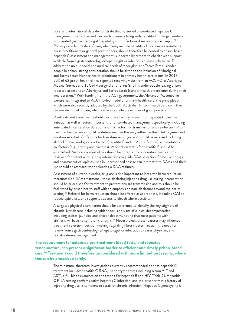Local and international data demonstrate that nurse-led prison-based hepatitis C management is effective and can reach prisoners living with hepatitis C in large numbers, with limited gastroenterologist/hepatologist or infectious diseases physician input.<sup>50</sup> Primary care-led models of care, which may include hepatitis clinical nurse consultants, nurse practitioners or general practitioners, should therefore be central to prison-based hepatitis C assessment and management, supported by remote telehealth with support available from a gastroenterologist/hepatologist or infectious diseases physician. To address the unique social and medical needs of Aboriginal and Torres Strait Islander people in prison, strong consideration should be given to the inclusion of Aboriginal and Torres Strait Islander health practitioners in primary health care teams. In 2018, 25% of 62 prison health clinics reported receiving visits from an ACCHO or Aboriginal Medical Service and 15% of Aboriginal and Torres Strait Islander people leaving prison reported accessing an Aboriginal and Torres Strait Islander health practitioner during their incarceration.<sup>14</sup> With funding from the ACT government, the Alexander Maconochie Centre has integrated an ACCHO-led model of primary health care, the principles of which were also recently adopted by the South Australian Prison Health Service in their state-wide model of care, which serve as excellent examples of good practice.<sup>51,52</sup>

Pre-treatment assessments should include a history relevant for hepatitis C treatment initiation as well as factors important for prison-based management specifically, including anticipated incarceration duration and risk factors for transmission and reinfection. Prior treatment experience should be determined, as this may influence the DAA regimen and duration selected. Co-factors for liver disease progression should be assessed including alcohol intake, virological co-factors (hepatitis B and HIV co-infection), and metabolic co-factors (e.g., obesity and diabetes). Vaccination status for hepatitis B should be established. Medical co-morbidities should be noted, and concomitant medications reviewed for potential drug-drug interactions to guide DAA selection. Some illicit drugs and pharmaceutical opioids used in unprescribed dosage can interact with DAAs and their use should be assessed when selecting a DAA regimen.

Assessment of current injecting drug use is also important to integrate harm reduction measures with DAA treatment - those disclosing injecting drug use during incarceration should be prioritised for treatment to prevent onward transmission and this should be facilitated by prison health staff with an emphasis on non-disclosure beyond the health setting.<sup>21</sup> Referral for harm reduction should be offered as appropriate, including OAT to reduce opioid use, and supported access to bleach where possible.

A targeted physical examination should be performed to identify the key stigmata of chronic liver disease including spider naevi, and signs of clinical decompensation including ascites, jaundice and encephalopathy, noting that most patients with cirrhosis will have no symptoms or signs.<sup>53</sup> Nevertheless, these features may influence treatment selection, decision-making regarding fibrosis determination, the need for review from a gastroenterologist/hepatologist or infectious diseases physician, and post-treatment management.

**The requirement for extensive pre-treatment blood tests, and repeated venepuncture, can present a significant barrier to efficient and timely prison-based care.54 Treatment could therefore be considered with more limited test results, where this can be prescribed safely.** 

> The minimum laboratory investigations currently recommended prior to hepatitis C treatment include: hepatitis C RNA, liver enzyme tests (including serum ALT and AST), a full blood examination and testing for hepatitis B and HIV (Table 2). Hepatitis C RNA testing confirms active hepatitis C infection, and in a prisoner with a history of injecting drug use, is sufficient to establish chronic infection. Hepatitis C genotyping is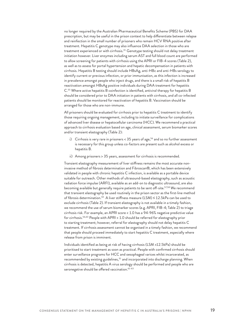no longer required by the Australian Pharmaceutical Benefits Scheme (PBS) for DAA prescription, but may be useful in the prison context to help differentiate between relapse and reinfection in the small number of prisoners who remain HCV RNA positive after treatment. Hepatitis C genotype may also influence DAA selection in those who are treatment experienced or with cirrhosis.<sup>31</sup> Genotype testing should not delay treatment initiation however. Liver enzymes including serum AST and full blood count are performed to allow screening for patients with cirrhosis using the APRI or FIB-4 scores (Table 2), as well as to assess for portal hypertension and hepatic decompensation in patients with cirrhosis. Hepatitis B testing should include HBsAg, anti-HBc and anti-HBs serology to identify current or previous infection, or prior immunisation, as this infection is increased in prevalence amongst people who inject drugs, and there is a small risk of hepatitis B reactivation amongst HBsAg positive individuals during DAA treatment for hepatitis C.55 Where active hepatitis B coinfection is identified, antiviral therapy for hepatitis B should be considered prior to DAA initiation in patients with cirrhosis, and all co-infected patients should be monitored for reactivation of hepatitis B. Vaccination should be arranged for those who are non-immune.

All prisoners should be evaluated for cirrhosis prior to hepatitis C treatment to identify those requiring ongoing management, including to initiate surveillance for complications of advanced liver disease or hepatocellular carcinoma (HCC). We recommend a practical approach to cirrhosis evaluation based on age, clinical assessment, serum biomarker scores and/or transient elastography (Table 2):

- i) Cirrhosis is very rare in prisoners  $<$  35 years of age,<sup>56</sup> and so no further assessment is necessary for this group unless co-factors are present such as alcohol excess or hepatitis B.
- ii) Among prisoners > 35 years, assessment for cirrhosis is recommended.

Transient elastography measurement of liver stiffness remains the most accurate noninvasive method of fibrosis determination and Fibroscan®, which has been extensively validated in people with chronic hepatitis C infection, is available as a portable device suitable for outreach. Other methods of ultrasound-based elastography, such as acoustic radiation force impulse (ARFI), available as an add-on to diagnostic ultrasound, are also becoming available but generally require patients to be sent off-site.<sup>57,58</sup> We recommend that transient elastography be used routinely in the prison sector as the first-line method of fibrosis determination.<sup>59</sup> A liver stiffness measure (LSM)  $\leq$  12.5kPa can be used to exclude cirrhosis (Table 2). If transient elastography is not available in a timely fashion, we recommend the use of serum biomarker scores (e.g. APRI, FIB-4; Table 2) to triage cirrhosis risk. For example, an APRI score < 1.0 has a 94-96% negative predictive value for cirrhosis.56,60 People with APRI > 1.0 should be referred for elastography prior to starting treatment; however, referral for elastography should not delay hepatitis C treatment. If cirrhosis assessment cannot be organised in a timely fashion, we recommend that people should proceed immediately to start hepatitis C treatment, especially where release from prison is imminent.

Individuals identified as being at risk of having cirrhosis (LSM >12.5kPa) should be prioritised to start treatment as soon as practical. People with confirmed cirrhosis should enter surveillance programs for HCC and oesophageal varices whilst incarcerated, as recommended by existing guidelines,<sup>31</sup> and incorporated into discharge planning. When cirrhosis is detected, hepatitis A virus serology should be performed and people who are seronegative should be offered vaccination.<sup>61-63</sup>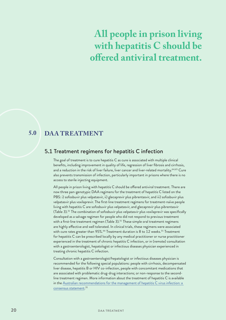# <span id="page-19-0"></span>**All people in prison living with hepatitis C should be offered antiviral treatment.**

#### **DAA TREATMENT 5.0**

# 5.1 Treatment regimens for hepatitis C infection

The goal of treatment is to cure hepatitis C as cure is associated with multiple clinical benefits, including improvement in quality of life, regression of liver fibrosis and cirrhosis, and a reduction in the risk of liver failure, liver cancer and liver-related mortality.<sup>64,65</sup> Cure also prevents transmission of infection, particularly important in prisons where there is no access to sterile injecting equipment.

All people in prison living with hepatitis C should be offered antiviral treatment. There are now three pan-genotypic DAA regimens for the treatment of hepatitis C listed on the PBS: i) sofosbuvir plus velpatasvir, ii) glecaprevir plus pibrentasvir, and iii) sofosbuvir plus velpatasvir plus voxilaprevir. The first-line treatment regimens for treatment-naïve people living with hepatitis C are sofosbuvir plus velpatasvir, and glecaprevir plus pibrentasvir (Table 3).<sup>31</sup> The combination of sofosbuvir plus velpatasvir plus voxilaprevir was specifically developed as a salvage regimen for people who did not respond to previous treatment with a first-line treatment regimen (Table 3).<sup>31</sup> These simple oral treatment regimens are highly effective and well tolerated. In clinical trials, these regimens were associated with cure rates greater than 95%.<sup>66</sup> Treatment duration is 8 to 12 weeks.<sup>31</sup> Treatment for hepatitis C can be prescribed locally by any medical practitioner or nurse practitioner experienced in the treatment of chronic hepatitis C infection, or in (remote) consultation with a gastroenterologist, hepatologist or infectious diseases physician experienced in treating chronic hepatitis C infection.

Consultation with a gastroenterologist/hepatologist or infectious diseases physician is recommended for the following special populations: people with cirrhosis, decompensated liver disease, hepatitis B or HIV co-infection, people with concomitant medications that are associated with problematic drug-drug interactions; or non-response to the secondline treatment regimen. More information about the treatment of hepatitis C is available in the [Australian recommendations for the management of hepatitis C virus infection: a](https://www.hepcguidelines.org.au/)  [consensus statement.](https://www.hepcguidelines.org.au/) 31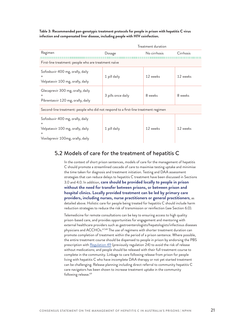<span id="page-20-0"></span>**Table 3: Recommended pan-genotypic treatment protocols for people in prison with hepatitis C virus infection and compensated liver disease, including people with HIV coinfection.**

| Treatment duration                                                                                                              |                    |              |           |  |
|---------------------------------------------------------------------------------------------------------------------------------|--------------------|--------------|-----------|--|
| Regimen                                                                                                                         | Dosage             | No cirrhosis | Cirrhosis |  |
| First-line treatment: people who are treatment naïve                                                                            |                    |              |           |  |
| Sofosbuvir 400 mg, orally, daily<br>$\pm$<br>Velpatasvir 100 mg, orally, daily                                                  | 1 pill daily       | 12 weeks     | 12 weeks  |  |
| Glecaprevir 300 mg, orally, daily<br>$\ddot{}$<br>Pibrentasvir 120 mg, orally, daily                                            | 3 pills once daily | 8 weeks      | 8 weeks   |  |
| Second-line treatment: people who did not respond to a first-line treatment regimen                                             |                    |              |           |  |
| Sofosbuvir 400 mg, orally, daily<br>$^+$<br>Velpatasvir 100 mg, orally, daily<br>$\ddot{}$<br>Voxilaprevir 100mg, orally, daily | 1 pill daily       | 12 weeks     | 12 weeks  |  |

# 5.2 Models of care for the treatment of hepatitis C

In the context of short prison sentences, models of care for the management of hepatitis C should promote a streamlined cascade of care to maximise testing uptake and minimise the time taken for diagnosis and treatment initiation. Testing and DAA assessment strategies that can reduce delays to hepatitis C treatment have been discussed in Sections 3.0 and 4.0. In addition, **care should be provided locally to people in prison without the need for transfer between prisons, or between prison and hospital clinics. Locally provided treatment can be led by primary care providers, including nurses, nurse practitioners or general practitioners**, as detailed above. Holistic care for people being treated for hepatitis C should include harm reduction strategies to reduce the risk of transmission or reinfection (see Section 6.0).

Telemedicine for remote consultations can be key to ensuring access to high quality prison-based care, and provides opportunities for engagement and mentoring with external healthcare providers such as gastroenterologists/hepatologists/infectious diseases physicians and ACCHOs.<sup>67,68</sup> The use of regimens with shorter treatment duration can promote completion of treatment within the period of a prison sentence. Where possible, the entire treatment course should be dispensed to people in prison by endorsing the PBS prescription with [Regulation 49](https://www.pbs.gov.au/info/healthpro/explanatory-notes/section1/Section_1_2_Explanatory_Notes#Regulation-49) (previously regulation 24) to avoid the risk of release without medications; and people should be released with their full treatment course to complete in the community. Linkage to care following release from prison for people living with hepatitis C who have incomplete DAA therapy or not yet started treatment can be challenging. Release planning including direct referral to community hepatitis C care navigators has been shown to increase treatment uptake in the community following release.<sup>69</sup>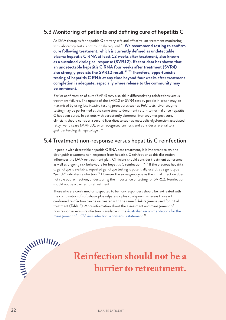# <span id="page-21-0"></span>5.3 Monitoring of patients and defining cure of hepatitis C

As DAA therapies for hepatitis C are very safe and effective, on-treatment monitoring with laboratory tests is not routinely required.31 **We recommend testing to confirm cure following treatment, which is currently defined as undetectable plasma hepatitis C RNA at least 12 weeks after treatment, also known as a sustained virological response (SVR12). Recent data has shown that an undetectable hepatitis C RNA four weeks after treatment (SVR4) also strongly predicts the SVR12 result.33,70 Therefore, opportunistic testing of hepatitis C RNA at any time beyond four weeks after treatment completion is adequate, especially where release to the community may be imminent.** 

Earlier confirmation of cure (SVR4) may also aid in differentiating reinfections versus treatment failures. The uptake of the SVR12 or SVR4 test by people in prison may be maximised by using less invasive testing procedures such as PoC tests. Liver enzyme testing may be performed at the same time to document return to normal once hepatitis C has been cured. In patients with persistently abnormal liver enzymes post cure, clinicians should consider a second liver disease such as metabolic-dysfunction associated fatty liver disease (MAFLD), or unrecognised cirrhosis and consider a referral to a gastroenterologist/hepatologist.31

# 5.4 Treatment non-response versus hepatitis C reinfection

In people with detectable hepatitis C RNA post-treatment, it is important to try and distinguish treatment non-response from hepatitis C reinfection as this distinction influences the DAA re-treatment plan. Clinicians should consider treatment adherence as well as ongoing risk behaviours for hepatitis C reinfection.<sup>28,71</sup> If the previous hepatitis C genotype is available, repeated genotype testing is potentially useful, as a genotype "switch" indicates reinfection.<sup>72</sup> However the same genotype as the initial infection does not rule out reinfection, underscoring the importance of testing for SVR12. Reinfection should not be a barrier to retreatment.

Those who are confirmed or suspected to be non-responders should be re-treated with the combination of sofosbuvir plus velpatasvir plus voxilaprevir, whereas those with confirmed reinfection can be re-treated with the same DAA regimens used for initial treatment (Table 3). More information about the assessment and management of non-response versus reinfection is available in the [Australian recommendations for the](https://www.hepcguidelines.org.au/)  [management of HCV virus infection: a consensus statement](https://www.hepcguidelines.org.au/). 31

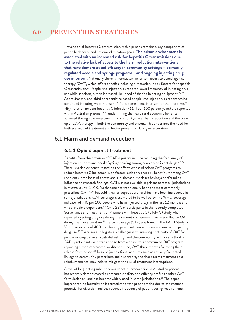# <span id="page-22-0"></span>**6.0 PREVENTION STRATEGIES**

Prevention of hepatitis C transmission within prisons remains a key component of prison healthcare and national elimination goals. **The prison environment is associated with an increased risk for hepatitis C transmissions due to the relative lack of access to the harm reduction interventions that have demonstrated efficacy in community settings – primarily regulated needle and syringe programs - and ongoing injecting drug use in prison.** Nationally there is inconsistent in-prison access to opioid agonist therapy (OAT), which offers benefits including a reduction in risk factors for hepatitis C transmission.21 People who inject drugs report a lower frequency of injecting drug use while in prison, but an increased likelihood of sharing injecting equipment.<sup>73,74</sup> Approximately one-third of recently released people who inject drugs report having continued injecting while in prison,<sup>74,75</sup> and some inject in prison for the first time.<sup>76</sup> High rates of incident hepatitis C infection (11.4 per 100 person years) are reported within Australian prisons,<sup>19-22</sup> undermining the health and economic benefits achieved through the investment in community-based harm reduction and the scale up of DAA therapy in both the community and prisons. This underlines the need for both scale-up of treatment and better prevention during incarceration.

# 6.1 Harm and demand reduction

#### **6.1.1 Opioid agonist treatment**

Benefits from the provision of OAT in prisons include reducing the frequency of injection episodes and needle/syringe sharing among people who inject drugs.77-79 There is varied evidence regarding the effectiveness of prison OAT programs to reduce hepatitis C incidence, with factors such as higher risk behaviours among OAT recipients, timeliness of access and sub-therapeutic doses having a confounding influence on research findings. OAT was not available in prisons across all jurisdictions in Australia until 2018. Methadone has traditionally been the most commonly prescribed OAT,80,81 but sublingual or depot buprenorphine have been introduced in some jurisdictions. OAT coverage is estimated to be well below the WHO coverage indicator of >40 per 100 people who have injected drugs in the last 12 months and who are opioid dependent.<sup>82</sup> Only 28% of participants in the recently completed Surveillance and Treatment of Prisoners with hepatitis C (SToP-C) study who reported injecting drug use during the current imprisonment were enrolled on OAT during their incarceration.<sup>28</sup> Better coverage (51%) was found in the PATH Study, a Victorian sample of 400 men leaving prison with recent pre-imprisonment injecting drug use.<sup>83</sup> There are also logistical challenges with ensuring continuity of OAT for people moving between custodial settings and the community, with over a third of PATH participants who transitioned from a prison to a community OAT program reporting either interrupted, or discontinued, OAT three months following their release from prison.<sup>83</sup> In some jurisdictions measures such as actively facilitated linkage to community prescribers and dispensers, and short-term treatment cost reimbursements, may help to mitigate the risk of treatment interruptions.

A trial of long-acting subcutaneous depot-buprenorphine in Australian prisons has recently demonstrated a comparable safety and efficacy profile to other OAT formulations, 84 and has become widely used in some jurisdictions. 81 The depotbuprenorphine formulation is attractive for the prison setting due to the reduced potential for diversion and the reduced frequency of patient dosing requirements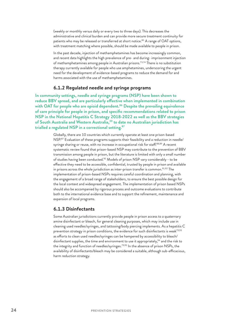(weekly or monthly versus daily or every two to three days). This decreases the administrative and clinical burden and can provide more secure treatment continuity for patients who may be released or transferred at short notice.<sup>85</sup> A range of OAT options, with treatment matching where possible, should be made available to people in prison.

In the past decade, injection of methamphetamines has become increasingly common, and recent data highlights the high prevalence of pre- and during- imprisonment injection of methamphetamines among people in Australian prisons.73,74 There is no substitution therapy currently available for people who use amphetamines, underscoring the urgent need for the development of evidence-based programs to reduce the demand for and harms associated with the use of methamphetamines.

#### **6.1.2 Regulated needle and syringe programs**

**In community settings, needle and syringe programs (NSP) have been shown to reduce BBV spread, and are particularly effective when implemented in combination with OAT for people who are opioid dependent.86 Despite the prevailing equivalence of care principle for people in prison, and specific recommendations related to prison NSP in the National Hepatitis C Strategy 2018-2022 as well as the BBV strategies**  of South Australia and Western Australia,<sup>30</sup> to date no Australian jurisdiction has **trialled a regulated NSP in a correctional setting.87**

> Globally, there are 10 countries which currently operate at least one prison-based NSP.<sup>87</sup> Evaluation of these programs supports their feasibility and a reduction in needle/ syringe sharing or reuse, with no increase in occupational risk for staff.<sup>88,89</sup> A recent systematic review found that prison-based NSP may contribute to the prevention of BBV transmission among people in prison, but the literature is limited with only a small number of studies having been conducted.<sup>90</sup> Models of prison NSP vary considerably - to be effective they need to be accessible, confidential, trusted by people in prison and available in prisons across the whole jurisdiction as inter-prison transfer is common.<sup>91,92</sup> The implementation of prison-based NSPs requires careful coordination and planning, with the engagement of a broad range of stakeholders, to ensure the best possible design for the local context and widespread engagement. The implementation of prison based NSPs should also be accompanied by rigorous process and outcome evaluations to contribute both to the international evidence base and to support the refinement, maintenance and expansion of local programs.

#### **6.1.3 Disinfectants**

Some Australian jurisdictions currently provide people in prison access to a quaternary amine disinfectant or bleach, for general cleaning purposes, which may include use in cleaning used needles/syringes, and tattooing/body piercing implements. As a hepatitis C prevention strategy in prison conditions, the evidence for such disinfectants is weak<sup>79,93</sup> as efforts to clean used needles/syringes can be hampered by accessibility to bleach/ disinfectant supplies, the time and environment to use it appropriately,<sup>94</sup> and the risk to the integrity and function of needles/syringes.<sup>79,95</sup> In the absence of prison NSPs, the availability of disinfectants/bleach may be considered a suitable, although sub-efficacious, harm reduction strategy.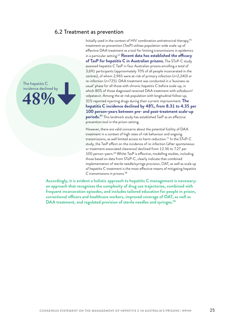### <span id="page-24-0"></span>6.2 Treatment as prevention

ꜜ**48%** The hepatitis C incidence declined by

Initially used in the context of HIV combination antiretroviral therapy,<sup>96</sup> treatment-as-prevention (TasP) utilises population-wide scale-up of effective DAA treatment as a tool for limiting transmissions in epidemics in a particular setting.62 **Recent data has established the efficacy of TasP for hepatitis C in Australian prisons.** The SToP-C study assessed hepatitis C TasP in four Australian prisons enrolling a total of 3,691 participants (approximately 70% of all people incarcerated in the centres), of whom 2,965 were at-risk of primary infection (n=2,240) or re-infection (n=725). DAA treatment was conducted in a 'business-as usual' phase for all those with chronic hepatitis C before scale-up, in which 80% of those diagnosed received DAA treatment with sofosbuvir/ velpatasvir. Among the at-risk population with longitudinal follow-up, 31% reported injecting drugs during their current imprisonment. **The hepatitis C incidence declined by 48%, from 8.31 to 4.35 per 100 person-years between pre- and post-treatment scale-up periods.97** This landmark study has established TasP as an effective prevention tool in the prison setting.

However, there are valid concerns about the potential futility of DAA treatment in a context of high rates of risk behaviour and ongoing transmissions, as well limited access to harm reduction.71 In the SToP-C study, the TasP effect on the incidence of re-infection (after spontaneous or treatment-associated clearance) declined from 12.36 to 7.27 per 100 person-years.<sup>28</sup> Whilst TasP is effective, modelling studies, including those based on data from SToP-C, clearly indicate that combined implementation of sterile needle/syringe provision, OAT, as well as scale up of hepatitis C treatment is the most effective means of mitigating hepatitis C transmissions in prisons.98

**Accordingly, it is evident a holistic approach to hepatitis C management is necessary; an approach that recognises the complexity of drug use trajectories, combined with frequent incarceration episodes, and includes tailored education for people in prison, correctional officers and healthcare workers, improved coverage of OAT, as well as DAA treatment, and regulated provision of sterile needles and syringes.98**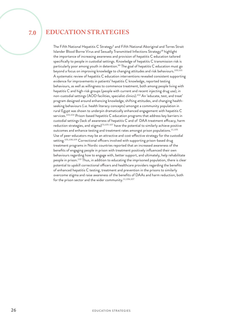<span id="page-25-0"></span>**7.0** 

# **EDUCATION STRATEGIES**

The Fifth National Hepatitis C Strategy<sup>5</sup> and Fifth National Aboriginal and Torres Strait Islander Blood Borne Virus and Sexually Transmitted Infections Strategy<sup>18</sup> highlight the importance of increasing awareness and provision of hepatitis C education tailored specifically to people in custodial settings. Knowledge of hepatitis C transmission risk is particularly poor among youth in detention.<sup>99</sup> The goal of hepatitis C education must go beyond a focus on improving knowledge to changing attitudes and risk behaviours.<sup>100,101</sup> A systematic review of hepatitis C education interventions revealed consistent supporting evidence for improvements in patients' hepatitis C knowledge, reported testing behaviours, as well as willingness to commence treatment, both among people living with hepatitis C and high-risk groups (people with current and recent injecting drug use), in non-custodial settings (AOD facilities, specialist clinics).<sup>102</sup> An 'educate, test, and treat' program designed around enhancing knowledge, shifting attitudes, and changing healthseeking behaviours (i.e. health literacy concepts) amongst a community population in rural Egypt was shown to underpin dramatically enhanced engagement with hepatitis C services.<sup>103,104</sup> Prison-based hepatitis C education programs that address key barriers in custodial settings (lack of awareness of hepatitis C and of DAA treatment efficacy, harm reduction strategies, and stigma) $73,105-107$  have the potential to similarly achieve positive outcomes and enhance testing and treatment rates amongst prison populations.<sup>11,105</sup> Use of peer-educators may be an attractive and cost-effective strategy for the custodial setting.<sup>105,108,109</sup> Correctional officers involved with supporting prison-based drug treatment programs in Nordic countries reported that an increased awareness of the benefits of engaging people in prison with treatment positively influenced their own behaviours regarding how to engage with, better support, and ultimately, help rehabilitate people in prison.<sup>110</sup> Thus, in addition to educating the imprisoned population, there is clear potential to upskill correctional officers and healthcare providers regarding the benefits of enhanced hepatitis C testing, treatment and prevention in the prisons to similarly overcome stigma and raise awareness of the benefits of DAAs and harm reduction, both for the prison sector and the wider community.<sup>11,106,107</sup>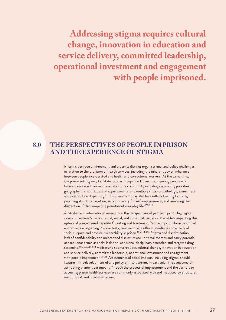<span id="page-26-0"></span>**Addressing stigma requires cultural change, innovation in education and service delivery, committed leadership, operational investment and engagement with people imprisoned.**

**8.0** 

# **THE PERSPECTIVES OF PEOPLE IN PRISON AND THE EXPERIENCE OF STIGMA**

Prison is a unique environment and presents distinct organisational and policy challenges in relation to the provision of health services, including the inherent power imbalance between people incarcerated and health and correctional workers. At the same time, the prison setting may facilitate uptake of hepatitis C treatment among people who have encountered barriers to access in the community including competing priorities, geography, transport, cost of appointments, and multiple visits for pathology, assessment and prescription dispensing.111 Imprisonment may also be a self-motivating factor by providing structured routine, an opportunity for self-improvement, and removing the distraction of the competing priorities of everyday life.<sup>105,111</sup>

Australian and international research on the perspectives of people in prison highlights several structural/environmental, social, and individual barriers and enablers impacting the uptake of prison-based hepatitis C testing and treatment. People in prison have described apprehension regarding invasive tests, treatment side effects, reinfection risk, lack of social support and physical vulnerability in prison.<sup>105,111,112</sup> Stigma and discrimination, lack of confidentiality and unintended disclosure are universal themes and carry potential consequences such as social isolation, additional disciplinary attention and targeted drug screening.<sup>105,107,111-114</sup> Addressing stigma requires cultural change, innovation in education and service delivery, committed leadership, operational investment and engagement with people imprisoned.<sup>107,115</sup> Assessments of social impacts, including stigma, should feature in the development of any policy or intervention. In particular, the avoidance of attributing blame is paramount.<sup>111</sup> Both the process of imprisonment and the barriers to accessing prison health services are commonly associated with and mediated by structural, institutional, and individual racism.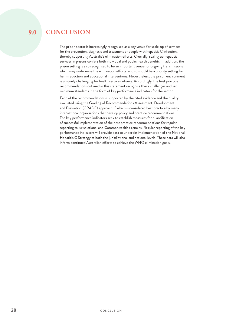#### <span id="page-27-0"></span>**CONCLUSION 9.0**

minimum standards in the form of key performance indicators for the sector.

Each of the recommendations is supported by the cited evidence and the quality evaluated using the Grading of Recommendations Assessment, Development and Evaluation (GRADE) approach<sup>116</sup> which is considered best practice by many international organisations that develop policy and practice recommendations. The key performance indicators seek to establish measures for quantification of successful implementation of the best practice recommendations for regular reporting to jurisdictional and Commonwealth agencies. Regular reporting of the key performance indicators will provide data to underpin implementation of the National Hepatitis C Strategy at both the jurisdictional and national levels. These data will also inform continued Australian efforts to achieve the WHO elimination goals.

The prison sector is increasingly recognised as a key venue for scale-up of services for the prevention, diagnosis and treatment of people with hepatitis C infection, thereby supporting Australia's elimination efforts. Crucially, scaling up hepatitis services in prisons confers both individual and public health benefits. In addition, the prison setting is also recognised to be an important venue for ongoing transmissions which may undermine the elimination efforts, and so should be a priority setting for harm reduction and educational interventions. Nevertheless, the prison environment is uniquely challenging for health service delivery. Accordingly, the best practice recommendations outlined in this statement recognise these challenges and set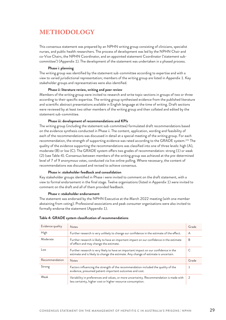# <span id="page-28-0"></span>**METHODOLOGY**

This consensus statement was prepared by an NPHN writing group consisting of clinicians, specialist nurses, and public health researchers. The process of development was led by the NPHN Chair and co-Vice Chairs, the NPHN Coordinator, and an appointed statement Coordinator ('statement subcommittee') (Appendix 1). The development of the statement was undertaken in a phased process.

#### **Phase i: planning**

The writing group was identified by the statement sub-committee according to expertise and with a view to varied jurisdictional representation; members of the writing group are listed in Appendix 1. Key stakeholder groups and representatives were also identified.

#### **Phase ii: literature review, writing and peer review**

Members of the writing group were invited to research and write topic sections in groups of two or three according to their specific expertise. The writing group synthesised evidence from the published literature and scientific abstract presentations available in English language at the time of writing. Draft sections were reviewed by at least two other members of the writing group and then collated and edited by the statement sub-committee.

#### **Phase iii: development of recommendations and KPIs**

The writing group (including the statement sub-committee) formulated draft recommendations based on the evidence synthesis conducted in Phase ii. The content, application, wording and feasibility of each of the recommendations was discussed in detail at a special meeting of the writing group. For each recommendation, the strength of supporting evidence was rated according to the GRADE system.<sup>101</sup> The quality of the evidence supporting the recommendations was classified into one of three levels: high (A), moderate (B) or low (C). The GRADE system offers two grades of recommendation: strong (1) or weak (2) (see Table 4). Consensus between members of the writing group was achieved at the pre-determined level of 7 of 9 anonymous votes, conducted via live online polling. Where necessary, the content of recommendations was discussed and revised to achieve consensus.

#### **Phase iv: stakeholder feedback and consolidation**

Key stakeholder groups identified in Phase i were invited to comment on the draft statement, with a view to formal endorsement in the final stage. Twelve organisations (listed in Appendix 1) were invited to comment on the draft and all of them provided feedback.

#### **Phase v: stakeholder endorsement**

The statement was endorsed by the NPHN Executive at the March 2022 meeting (with one member abstaining from voting). Professional associations and peak consumer organisations were also invited to formally endorse the statement (Appendix 1).

| Evidence quality | <b>Notes</b>                                                                                                                                                                | Grade |
|------------------|-----------------------------------------------------------------------------------------------------------------------------------------------------------------------------|-------|
| <b>High</b>      | Further research is very unlikely to change our confidence in the estimate of the effect.                                                                                   | A     |
| Moderate         | Further research is likely to have an important impact on our confidence in the estimate<br>of effect and may change the estimate.                                          | B     |
| Low              | Further research is very likely to have an important impact on our confidence in the<br>estimate and is likely to change the estimate. Any change of estimate is uncertain. |       |
| Recommendation   | <b>Notes</b>                                                                                                                                                                | Grade |
| Strong           | Factors influencing the strength of the recommendation included the quality of the<br>evidence, presumed patient-important outcomes and cost.                               | 1     |
| Weak             | Variability in preferences and values, or more uncertainty. Recommendation is made with<br>less certainty, higher cost or higher resource consumption.                      |       |

#### **Table 4: GRADE system classification of recommendations**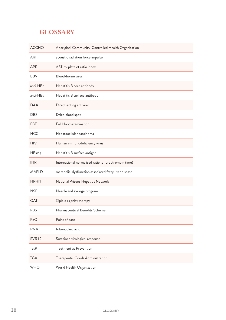# <span id="page-29-0"></span>**GLOSSARY**

| <b>ACCHO</b>      | Aboriginal Community-Controlled Health Organisation  |
|-------------------|------------------------------------------------------|
| <b>ARFI</b>       | acoustic radiation force impulse                     |
| <b>APRI</b>       | AST-to-platelet ratio index                          |
| <b>BBV</b>        | Blood-borne virus                                    |
| anti-HBc          | Hepatitis B core antibody                            |
| anti-HBs          | Hepatitis B surface antibody                         |
| <b>DAA</b>        | Direct-acting antiviral                              |
| <b>DBS</b>        | Dried blood spot                                     |
| <b>FBE</b>        | Full blood examination                               |
| <b>HCC</b>        | Hepatocellular carcinoma                             |
| <b>HIV</b>        | Human immunodeficiency virus                         |
| HBsAg             | Hepatitis B surface antigen                          |
| <b>INR</b>        | International normalised ratio (of prothrombin time) |
| <b>MAFLD</b>      | metabolic-dysfunction associated fatty liver disease |
| <b>NPHN</b>       | National Prisons Hepatitis Network                   |
| <b>NSP</b>        | Needle and syringe program                           |
| OAT               | Opioid agonist therapy                               |
| <b>PBS</b>        | Pharmaceutical Benefits Scheme                       |
| PoC               | Point of care                                        |
| <b>RNA</b>        | Ribonucleic acid                                     |
| SVR <sub>12</sub> | Sustained virological response                       |
| TasP              | Treatment as Prevention                              |
| <b>TGA</b>        | Therapeutic Goods Administration                     |
| <b>WHO</b>        | World Health Organization                            |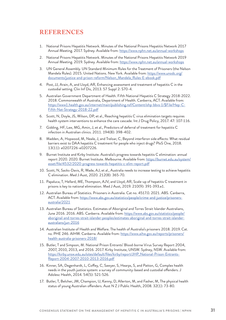# <span id="page-30-0"></span>**REFERENCES**

- 1. National Prisons Hepatitis Network. Minutes of the National Prisons Hepatitis Network 2017 Annual Meeting. 2017. Sydney. Available from: [https://www.nphn.net.au/annual-workshops](https://www.nphn.net.au/annual-workshops )
- 2. National Prisons Hepatitis Network. Minutes of the National Prisons Hepatitis Network 2019 Annual Meeting. 2019. Sydney. Available from: [https://www.nphn.net.au/annual-workshops](https://www.nphn.net.au/annual-workshops )
- 3. UN General Assembly. UN Standard Minimum Rules for the Treatment of Prisoners (the Nelson Mandela Rules). 2015. United Nations. New York. Available from: [https://www.unodc.org/](https://www.unodc.org/documents/justice-and-prison-reform/Nelson_Mandela_Rules-E-ebook.pdf) [documents/justice-and-prison-reform/Nelson\\_Mandela\\_Rules-E-ebook.pdf](https://www.unodc.org/documents/justice-and-prison-reform/Nelson_Mandela_Rules-E-ebook.pdf)
- 4. Post, JJ, Arain, A, and Lloyd, AR, Enhancing assessment and treatment of hepatitis C in the custodial setting. Clin Inf Dis, 2013. 57 Suppl 2: S70-4.
- 5. Australian Government Department of Health. Fifth National Hepatitis C Strategy 2018-2022. 2018. Commonwealth of Australia, Department of Health. Canberra, ACT. Available from: [https://www1.health.gov.au/internet/main/publishing.nsf/Content/ohp-bbvs-1/\\$File/Hep-C-](https://www1.health.gov.au/internet/main/publishing.nsf/Content/ohp-bbvs-1/$File/Hep-C-Fifth-Nat-Strategy-2018-22.pdf)[Fifth-Nat-Strategy-2018-22.pdf](https://www1.health.gov.au/internet/main/publishing.nsf/Content/ohp-bbvs-1/$File/Hep-C-Fifth-Nat-Strategy-2018-22.pdf)
- 6. Scott, N, Doyle, JS, Wilson, DP, et al., Reaching hepatitis C virus elimination targets requires health system interventions to enhance the care cascade. Int J Drug Policy, 2017. 47: 107-116.
- 7. Gidding, HF, Law, MG, Amin, J, et al., Predictors of deferral of treatment for hepatitis C infection in Australian clinics. 2011. 194(8): 398-402.
- 8. Madden, A, Hopwood, M, Neale, J, and Treloar, C, Beyond interferon side effects: What residual barriers exist to DAA hepatitis C treatment for people who inject drugs? PloS One, 2018. 13(11): e0207226-e0207226.
- 9. Burnet Institute and Kirby Institute. Australia's progress towards hepatitis C elimination: annual report 2020. 2020. Burnet Institute. Melbourne. Available from: [https://burnet.edu.au/system/](https://burnet.edu.au/system/asset/file/4532/2020-progress-towards-hepatitis-c-elim-report.pdf) [asset/file/4532/2020-progress-towards-hepatitis-c-elim-report.pdf](https://burnet.edu.au/system/asset/file/4532/2020-progress-towards-hepatitis-c-elim-report.pdf)
- 10. Scott, N, Sacks-Davis, R, Wade, AJ, et al., Australia needs to increase testing to achieve hepatitis C elimination. Med J Aust, 2020. 212(8): 365-70.
- 11. Papaluca, T, Hellard, ME, Thompson, AJV, and Lloyd, AR, Scale-up of hepatitis C treatment in prisons is key to national elimination. Med J Aust, 2019. 210(9): 391-393.e1.
- 12. Australian Bureau of Statistics. Prisoners in Australia. Cat no. 4517.0. 2021. ABS. Canberra, ACT. Available from: [https://www.abs.gov.au/statistics/people/crime-and-justice/prisoners](https://www.abs.gov.au/statistics/people/crime-and-justice/prisoners-australia/2021)[australia/2021](https://www.abs.gov.au/statistics/people/crime-and-justice/prisoners-australia/2021)
- 13. Australian Bureau of Statistics. Estimates of Aboriginal and Torres Strait Islander Australians, June 2016. 2016. ABS. Canberra. Available from: [https://www.abs.gov.au/statistics/people/](https://www.abs.gov.au/statistics/people/aboriginal-and-torres-strait-islander-peoples/estimates-aboriginal-and-torres-strait-islander-australians/jun-2016
) [aboriginal-and-torres-strait-islander-peoples/estimates-aboriginal-and-torres-strait-islander](https://www.abs.gov.au/statistics/people/aboriginal-and-torres-strait-islander-peoples/estimates-aboriginal-and-torres-strait-islander-australians/jun-2016
)[australians/jun-2016](https://www.abs.gov.au/statistics/people/aboriginal-and-torres-strait-islander-peoples/estimates-aboriginal-and-torres-strait-islander-australians/jun-2016
)
- 14. Australian Institute of Health and Welfare. The health of Australia's prisoners 2018. 2019. Cat. no. PHE 246. AIHW. Canberra. Available from: [https://www.aihw.gov.au/reports/prisoners/](https://www.aihw.gov.au/reports/prisoners/health-australia-prisoners-2018/) [health-australia-prisoners-2018/](https://www.aihw.gov.au/reports/prisoners/health-australia-prisoners-2018/)
- 15. Butler, T and Simpson, M. National Prison Entrants' Blood-borne Virus Survey Report 2004, 2007, 2010, 2013, and 2016. 2017. Kirby Institute, UNSW. Sydney, NSW. Available from: [https://kirby.unsw.edu.au/sites/default/files/kirby/report/JHP\\_National-Prison-Entrants-](https://kirby.unsw.edu.au/sites/default/files/kirby/report/JHP_National-Prison-Entrants-Report-2004-2007-2010-2013-2016.pdf)[Report-2004-2007-2010-2013-2016.pdf](https://kirby.unsw.edu.au/sites/default/files/kirby/report/JHP_National-Prison-Entrants-Report-2004-2007-2010-2013-2016.pdf)
- 16. Kinner, SA, Degenhardt, L, Coffey, C, Sawyer, S, Hearps, S, and Patton, G, Complex health needs in the youth justice system: a survey of community-based and custodial offenders. J Adolesc Health, 2014. 54(5): 521-526.
- 17. Butler, T, Belcher, JM, Champion, U, Kenny, D, Allerton, M, and Fasher, M, The physical health status of young Australian offenders. Aust N Z J Public Health, 2008. 32(1): 73-80.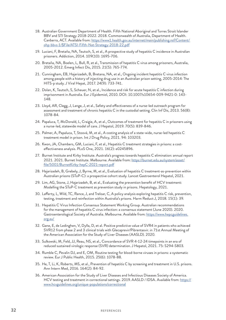- 18. Australian Government Department of Health. Fifth National Aboriginal and Torres Strait Islander BBV and STI Strategy 2018-2022. 2018. Commonwealth of Australia, Department of Health. Canberra, ACT. Available from: [https://www1.health.gov.au/internet/main/publishing.nsf/Content/](https://www1.health.gov.au/internet/main/publishing.nsf/Content/ohp-bbvs-1/$File/ATSI-Fifth-Nat-Strategy-2018-22.pdf) [ohp-bbvs-1/\\$File/ATSI-Fifth-Nat-Strategy-2018-22.pdf](https://www1.health.gov.au/internet/main/publishing.nsf/Content/ohp-bbvs-1/$File/ATSI-Fifth-Nat-Strategy-2018-22.pdf)
- 19. Luciani, F, Bretaña, NA, Teutsch, S, et al., A prospective study of hepatitis C incidence in Australian prisoners. Addiction, 2014. 109(10): 1695-706.
- 20. Bretaña, NA, Boelen, L, Bull, R, et al., Transmission of hepatitis C virus among prisoners, Australia, 2005-2012. Emerg Infect Dis, 2015. 21(5): 765-774.
- 21. Cunningham, EB, Hajarizadeh, B, Bretana, NA, et al., Ongoing incident hepatitis C virus infection among people with a history of injecting drug use in an Australian prison setting, 2005-2014: The HITS-p study. J Viral Hepat, 2017. 24(9): 733-741.
- 22. Dolan, K, Teutsch, S, Scheuer, N, et al., Incidence and risk for acute hepatitis C infection during imprisonment in Australia. Eur J Epidemiol, 2010. DOI: 10.1007/s10654-009-9421-0: 143- 148.
- 23. Lloyd, AR, Clegg, J, Lange, J, et al., Safety and effectiveness of a nurse-led outreach program for assessment and treatment of chronic hepatitis C in the custodial setting. Clin Inf Dis, 2013. 56(8): 1078-84.
- 24. Papaluca, T, McDonald, L, Craigie, A, et al., Outcomes of treatment for hepatitis C in prisoners using a nurse-led, statewide model of care. J Hepatol, 2019. 70(5): 839-846.
- 25. Palmer, A, Papaluca, T, Stoové, M, et al., A costing analysis of a state-wide, nurse-led hepatitis C treatment model in prison. Int J Drug Policy, 2021. 94: 103203.
- 26. Kwon, JA, Chambers, GM, Luciani, F, et al., Hepatitis C treatment strategies in prisons: a costeffectiveness analysis. PLoS One, 2021. 16(2): e0245896.
- 27. Burnet Institute and Kirby Institute. Australia's progress towards hepatitis C elimination: annual report 2021. 2021. Burnet Institute. Melbourne. Available from: [https://burnet.edu.au/system/asset/](https://burnet.edu.au/system/asset/file/5001/BurnetKirby-hepC-2021-report.pdf) [file/5001/BurnetKirby-hepC-2021-report.pdf](https://burnet.edu.au/system/asset/file/5001/BurnetKirby-hepC-2021-report.pdf)
- 28. Hajarizadeh, B, Grebely, J, Byrne, M, et al., Evaluation of hepatitis C treatment-as-prevention within Australian prisons (SToP-C): a prospective cohort study. Lancet Gastroenterol Hepatol, 2021.
- 29. Lim, AG, Stone, J, Hajarizadeh, B, et al., Evaluating the prevention benefit of HCV treatment: Modelling the SToP-C treatment as prevention study in prisons. Hepatology, 2021.
- 30. Lafferty, L, Wild, TC, Rance, J, and Treloar, C, A policy analysis exploring hepatitis C risk, prevention, testing, treatment and reinfection within Australia's prisons. Harm Reduct J, 2018. 15(1): 39.
- 31. Hepatitis C Virus Infection Consensus Statement Working Group. Australian recommendations for the management of hepatitis C virus infection: a consensus statement (June 2020). 2020. Gastroenterological Society of Australia. Melbourne. Available from: [https://www.hepcguidelines.](https://www.hepcguidelines.org.au/) [org.au/](https://www.hepcguidelines.org.au/)
- 32. Gane, E, de Ledinghen, V, Dylla, D, et al. Positive predictive value of SVR4 in patients who achieved SVR12 from phase 2 and 3 clinical trials with Glecaprevir/Pibrentasvir. in 71st Annual Meeting of the American Association for the Study of Liver Diseases (AASLD). 2020.
- 33. Sulkowski, M, Feld, JJ, Reau, NS, et al., Concordance of SVR 4-12-24 timepoints in an era of reduced sustained virologic response (SVR) determination. J Hepatol, 2021. 75: S294-S803.
- 34. Rumble C, Pevalin DJ, and E, OM, Routine testing for blood-borne viruses in prisons: a systematic review. Eur J Public Health, 2015. 25(6): 1078-88.
- 35. He, T, Li, K, Roberts, MS, et al., Prevention of hepatitis C by screening and treatment in U.S. prisons. Ann Intern Med, 2016. 164(2): 84-92.
- 36. American Association for the Study of Liver Diseases and Infectious Diseases Society of America. HCV testing and treatment in correctional settings. 2019. AASLD / IDSA. Available from: [https://](https://www.hcvguidelines.org/unique-populations/correctional
) [www.hcvguidelines.org/unique-populations/correctional](https://www.hcvguidelines.org/unique-populations/correctional
)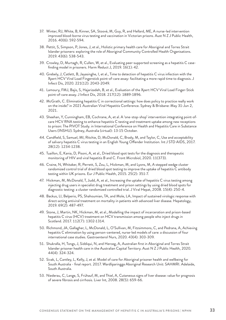- 37. Winter, RJ, White, B, Kinner, SA, Stoové, M, Guy, R, and Hellard, ME, A nurse-led intervention improved blood-borne virus testing and vaccination in Victorian prisons. Aust N Z J Public Health, 2016. 40(6): 592-594.
- 38. Pettit, S, Simpson, P, Jones, J, et al., Holistic primary health care for Aboriginal and Torres Strait Islander prisoners: exploring the role of Aboriginal Community Controlled Health Organisations. 2019. 43(6): 538-543.
- 39. Crowley, D, Murtagh, R, Cullen, W, et al., Evaluating peer-supported screening as a hepatitis C casefinding model in prisoners. Harm Reduct J, 2019. 16(1): 42.
- 40. Grebely, J, Catlett, B, Jayasinghe, I, et al., Time to detection of hepatitis C virus infection with the Xpert HCV Viral Load Fingerstick point-of-care assay: facilitating a more rapid time to diagnosis. J Infect Dis, 2020. 221(12): 2043-2049.
- 41. Lamoury, FMJ, Bajis, S, Hajarizadeh, B, et al., Evaluation of the Xpert HCV Viral Load Finger-Stick point-of-care assay. J Infect Dis, 2018. 217(12): 1889-1896.
- 42. McGrath, C. Eliminating hepatitis C in correctional settings: how does policy to practice really work on the inside? in 2021 Australian Viral Hepatitis Conference. Sydney & Brisbane: May 31-Jun 2, 2021.
- 43. Sheehan, Y, Cunningham, EB, Cochrane, A, et al. A 'one-stop-shop' intervention integrating point-ofcare HCV RNA testing to enhance hepatitis C testing and treatment uptake among new receptions to prison: The PIVOT Study. in International Conference on Health and Hepatitis Care in Substance Users (INSHU). Sydney, Australia (virtual): 13-15 October.
- 44. Candfield, S, Samuel, MI, Ritchie, D, McDonald, C, Brady, M, and Taylor, C, Use and acceptability of salivary hepatitis C virus testing in an English Young Offender Institution. Int J STD AIDS, 2017. 28(12): 1234-1238.
- 45. Tuaillon, E, Kania, D, Pisoni, A, et al., Dried blood spot tests for the diagnosis and therapeutic monitoring of HIV and viral hepatitis B and C. Front Microbiol, 2020. 11(373).
- 46. Craine, N, Whitaker, R, Perrett, S, Zou, L, Hickman, M, and Lyons, M, A stepped wedge cluster randomized control trial of dried blood spot testing to improve the uptake of hepatitis C antibody testing within UK prisons. Eur J Public Health, 2015. 25(2): 351-7.
- 47. Hickman, M, McDonald, T, Judd, A, et al., Increasing the uptake of hepatitis C virus testing among injecting drug users in specialist drug treatment and prison settings by using dried blood spots for diagnostic testing: a cluster randomized controlled trial. J Viral Hepat, 2008. 15(4): 250-4.
- 48. Backus, LI, Belperio, PS, Shahoumian, TA, and Mole, LA, Impact of sustained virologic response with direct-acting antiviral treatment on mortality in patients with advanced liver disease. Hepatology, 2019. 69(2): 487-497.
- 49. Stone, J, Martin, NK, Hickman, M, et al., Modelling the impact of incarceration and prison-based hepatitis C virus (HCV) treatment on HCV transmission among people who inject drugs in Scotland. 2017. 112(7): 1302-1314.
- 50. Richmond, JA, Gallagher, L, McDonald, L, O'Sullivan, M, Fitzsimmons, C, and Pedrana, A, Achieving hepatitis C elimination by using person-centered, nurse-led models of care: a discussion of four international case studies. Gastroenterol Nurs, 2020. 43(4): 303-309.
- 51. Shukralla, H, Tongs, J, Siddiqui, N, and Herceg, A, Australian first in Aboriginal and Torres Strait Islander prisoner health care in the Australian Capital Territory. Aust N Z J Public Health, 2020. 44(4): 324-324.
- 52. Sivak, L, Cantley, L, Kelly, J, et al. Model of care for Aboriginal prisoner health and wellbeing for South Australia [-](https://www.sahealth.sa.gov.au/wps/wcm/connect/public+content/sa+health+internet/resources/sa+prison+health+service+model+of+care+for+aboriginal+prisoner+health+and+wellbeing+for+south+australia) final report. 2017. Wardliparingga Aboriginal Research Unit: SAHMRI. Adelaide, South Australia.
- 53. Niederau, C, Lange, S, Frühauf, M, and Thiel, A, Cutaneous signs of liver disease: value for prognosis of severe fibrosis and cirrhosis. Liver Int, 2008. 28(5): 659-66.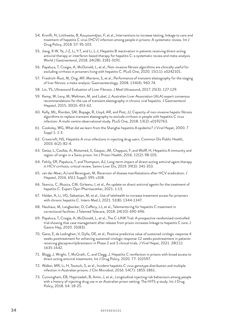- 54. Kronfli, N, Linthwaite, B, Kouyoumdjian, F, et al., Interventions to increase testing, linkage to care and treatment of hepatitis C virus (HCV) infection among people in prisons: A systematic review. Int J Drug Policy, 2018. 57: 95-103.
- 55. Jiang, X-W, Ye, J-Z, Li, Y-T, and Li, L-J, Hepatitis B reactivation in patients receiving direct-acting antiviral therapy or interferon-based therapy for hepatitis C: a systematic review and meta-analysis. World J Gastroenterol, 2018. 24(28): 3181-3191.
- 56. Papaluca, T, Craigie, A, McDonald, L, et al., Non-invasive fibrosis algorithms are clinically useful for excluding cirrhosis in prisoners living with hepatitis C. PLoS One, 2020. 15(11): e0242101.
- 57. Friedrich-Rust, M, Ong, MF, Martens, S, et al., Performance of transient elastography for the staging of liver fibrosis: a meta-analysis. Gastroenterology, 2008. 134(4): 960-74.
- 58. Lin, YS, Ultrasound Evaluation of Liver Fibrosis. J Med Ultrasound, 2017. 25(3): 127-129.
- 59. Kemp, W, Levy, M, Weltman, M, and Lubel, J, Australian Liver Association (ALA) expert consensus recommendations for the use of transient elastography in chronic viral hepatitis. J Gastroenterol Hepatol, 2015. 30(3): 453-62.
- 60. Kelly, ML, Riordan, SM, Bopage, R, Lloyd, AR, and Post, JJ, Capacity of non-invasive hepatic fibrosis algorithms to replace transient elastography to exclude cirrhosis in people with hepatitis C virus infection: A multi-centre observational study. PLoS One, 2018. 13(2): e0192763.
- 61. Cooksley, WG, What did we learn from the Shanghai hepatitis A epidemic? J Viral Hepat, 2000. 7 Suppl 1: 1-3.
- 62. Crowcroft, NS, Hepatitis A virus infections in injecting drug users. Commun Dis Public Health, 2003. 6(2): 82-4.
- 63. Getaz, L, Casillas, A, Motamed, S, Gaspoz, JM, Chappuis, F, and Wolff, H, Hepatitis A immunity and region-of-origin in a Swiss prison. Int J Prison Health, 2016. 12(2): 98-105.
- 64. Fehily, SR, Papaluca, T, and Thompson, AJ, Long-term impact of direct-acting antiviral agent therapy in HCV cirrhosis: critical review. Semin Liver Dis, 2019. 39(3): 341-353.
- 65. van der Meer, AJ and Berenguer, M, Reversion of disease manifestations after HCV eradication. J Hepatol, 2016. 65(1 Suppl): S95-s108.
- 66. Stanciu, C, Muzica, CM, Girleanu, I, et al., An update on direct antiviral agents for the treatment of hepatitis C. Expert Opin Pharmacother, 2021: 1-13.
- 67. Halder, A, Li, VG, Sebastian, M, et al., Use of telehealth to increase treatment access for prisoners with chronic hepatitis C. Intern Med J, 2021. 51(8): 1344-1347.
- 68. Neuhaus, M, Langbecker, D, Caffery, LJ, et al., Telementoring for hepatitis C treatment in correctional facilities. J Telemed Telecare, 2018. 24(10): 690-696.
- 69. Papaluca, T, Craigie, A, McDonald, L, et al., The C-LINK Trial: A prospective randomised controlled trial showing that case management after release from prison increases linkage to hepatitis C care. J Gastro Hep, 2020. 35(83).
- 70. Gane, E, de Ledinghen, V, Dylla, DE, et al., Positive predictive value of sustained virologic response 4 weeks posttreatment for achieving sustained virologic response 12 weeks posttreatment in patients receiving glecaprevir/pibrentasvir in Phase 2 and 3 clinical trials. J Viral Hepat, 2021. 28(11): 1635-1642.
- 71. Blogg, J, Wright, T, McGrath, C, and Clegg, J, Hepatitis C reinfection in prisons with broad access to direct acting antiviral treatments. Int J Drug Policy, 2020. 77: 102597.
- 72. Walker, MR, Li, H, Teutsch, S, et al., Incident hepatitis C virus genotype distribution and multiple infection in Australian prisons. J Clin Microbiol, 2016. 54(7): 1855-1861.
- 73. Cunningham, EB, Hajarizadeh, B, Amin, J, et al., Longitudinal injecting risk behaviours among people with a history of injecting drug use in an Australian prison setting: The HITS-p study. Int J Drug Policy, 2018. 54: 18-25.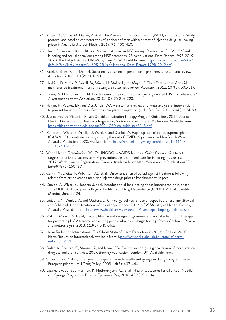- 74. Kirwan, A, Curtis, M, Dietze, P, et al., The Prison and Transition Health (PATH) cohort study: Study protocol and baseline characteristics of a cohort of men with a history of injecting drug use leaving prison in Australia. J Urban Health, 2019. 96: 400-410.
- 75. Heard S, Iversen J, Kwon JA, and Maher L. Australian NSP survey: Prevalence of HIV, HCV and injecting and sexual behaviour among NSP attendees, 25-year National Data Report 1995-2019. 2020. The Kirby Institute, UNSW. Sydney, NSW. Available from: [https://kirby.unsw.edu.au/sites/](https://kirby.unsw.edu.au/sites/default/files/kirby/report/ANSPS_25-Year-National-Data-Report-1995-2019.pdf
) [default/files/kirby/report/ANSPS\\_25-Year-National-Data-Report-1995-2019.pdf](https://kirby.unsw.edu.au/sites/default/files/kirby/report/ANSPS_25-Year-National-Data-Report-1995-2019.pdf
)
- 76. Fazel, S, Bains, P, and Doll, H, Substance abuse and dependence in prisoners: a systematic review. Addiction, 2006. 101(2): 181-191.
- 77. Hedrich, D, Alves, P, Farrell, M, Stöver, H, Møller, L, and Mayet, S, The effectiveness of opioid maintenance treatment in prison settings: a systematic review. Addiction, 2012. 107(3): 501-517.
- 78. Larney, S, Does opioid substitution treatment in prisons reduce injecting-related HIV risk behaviours? A systematic review. Addiction, 2010. 105(2): 216-223.
- 79. Hagan, H, Pouget, ER, and Des Jarlais, DC, A systematic review and meta-analysis of interventions to prevent hepatitis C virus infection in people who inject drugs. J Infect Dis, 2011. 204(1): 74-83.
- 80. Justice Health. Victorian Prison Opioid Substitution Therapy Program Guidelines. 2015. Justice Health, Department of Justice & Regulation, Victorian Government. Melbourne. Available from: https://files.corrections.vic.gov.au/2021-06/ostp\_guidelines2015.pdf
- 81. Roberts, J, White, B, Attalla, D, Ward, S, and Dunlop, A. Rapid upscale of depot buprenorphine (CAM2038) in custodial settings during the early COVID-19 pandemic in New South Wales, Australia. Addiction, 2020. Available from: [https://onlinelibrary.wiley.com/doi/full/10.1111/](https://onlinelibrary.wiley.com/doi/full/10.1111/add.15244?af=R ) [add.15244?af=R](https://onlinelibrary.wiley.com/doi/full/10.1111/add.15244?af=R )
- 82. World Health Organization. WHO, UNODC, UNAIDS Technical Guide for countries to set targets for universal access to HIV prevention, treatment and care for injecting drug users. 2012. World Health Organization. Geneva. Available from: https://www.who.int/publications/i/ item/978924150437
- 83. Curtis, M, Dietze, P, Wilkinson, AL, et al., Discontinuation of opioid agonist treatment following release from prison among men who injected drugs prior to imprisonment. in prep.
- 84. Dunlop, A, White, B, Roberts, J, et al. Introduction of long-acting depot buprenorphine in prison - the UNLOC-T study. in College of Problems on Drug Dependence (CPDD). Virtual Scientific Meeting: June 22-24.
- 85. Lintzeris, N, Dunlop, A, and Masters, D. Clinical guidelines for use of depot buprenorphine (Buvidal and Sublocade) in the treatment of opioid dependence. 2019. NSW Ministry of Health. Sydney, Australia. Available from:<https://www.health.nsw.gov.au/aod/Pages/depot-bupe-guidelines.aspx>
- 86. Platt, L, Minozzi, S, Reed, J, et al., Needle and syringe programmes and opioid substitution therapy for preventing HCV transmission among people who inject drugs: findings from a Cochrane Review and meta-analysis. 2018. 113(3): 545-563.
- 87. Harm Reduction International. The Global State of Harm Reduction 2020: 7th Edition. 2020. Harm Reduction International. Available from: h[ttps://www.hri.global/global-state-of-harm](https://www.hri.global/global-state-of-harm-reduction-2020)[reduction-2020](https://www.hri.global/global-state-of-harm-reduction-2020)
- 88. Dolan, K, Brentari, C, Stevens, A, and Khoei, EM. Prisons and drugs: a global review of incarceration, drug use and drug services. 2007. Beckley Foundation. London, UK. Available from:
- 89. Stöver, H and Nelles, J, Ten years of experience with needle and syringe exchange programmes in European prisons. Int J Drug Policy, 2003. 14(5): 437-444.
- 90. Lazarus, JV, Safreed-Harmon, K, Hetherington, KL, et al., Health Outcomes for Clients of Needle and Syringe Programs in Prisons. Epidemiol Rev, 2018. 40(1): 96-104.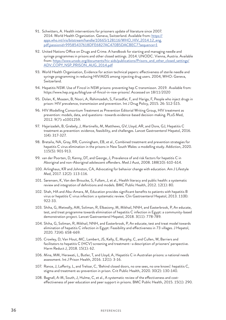- 91. Schwitters, A. Health interventions for prisoners update of literature since 2007. 2014. World Health Organization. Geneva, Switzerland. Available from: [https://](https://apps.who.int/iris/bitstream/handle/10665/128116/WHO_HIV_2014.12_eng.pdf;jsessionid=99585437618DFE6827AC470B5DACBEC7?sequence=1
) [apps.who.int/iris/bitstream/handle/10665/128116/WHO\\_HIV\\_2014.12\\_eng.](https://apps.who.int/iris/bitstream/handle/10665/128116/WHO_HIV_2014.12_eng.pdf;jsessionid=99585437618DFE6827AC470B5DACBEC7?sequence=1
) [pdf;jsessionid=99585437618DFE6827AC470B5DACBEC7?sequence=1](https://apps.who.int/iris/bitstream/handle/10665/128116/WHO_HIV_2014.12_eng.pdf;jsessionid=99585437618DFE6827AC470B5DACBEC7?sequence=1
)
- 92. United Nations Office on Drugs and Crime. A handbook for starting and managing needle and syringe programmes in prisons and other closed settings. 2014. UNODC. Vienna, Austria. Available from: [https://www.unodc.org/documents/hiv-aids/publications/Prisons\\_and\\_other\\_closed\\_settings/](https://www.unodc.org/documents/hiv-aids/publications/Prisons_and_other_closed_settings/ADV_COPY_NSP_PRISON_AUG_2014.pdf) [ADV\\_COPY\\_NSP\\_PRISON\\_AUG\\_2014.pdf](https://www.unodc.org/documents/hiv-aids/publications/Prisons_and_other_closed_settings/ADV_COPY_NSP_PRISON_AUG_2014.pdf)
- 93. World Health Organisation, Evidence for action technical papers: effectiveness of sterile needle and syringe programming in reducing HIV/AIDS among injecting drug users. 2004, WHO: Geneva, Switzerland.
- 94. Hepatitis NSW. Use of Fincol in NSW prisons: preventing hep C transmisson. 2019. Available from: https://www.hep.org.au/blog/use-of-fincol-in-nsw-prisons/. Accessed on 18/11/2020
- 95. Dolan, K, Moazen, B, Noori, A, Rahimzadeh, S, Farzadfar, F, and Hariga, F, People who inject drugs in prison: HIV prevalence, transmission and prevention. Int J Drug Policy, 2015. 26: S12-S15.
- 96. HIV Modelling Consortium Treatment as Prevention Editorial Writing Group, HIV treatment as prevention: models, data, and questions--towards evidence-based decision-making. PLoS Med, 2012. 9(7): e1001259.
- 97. Hajarizadeh, B, Grebely, J, Martinello, M, Matthews, GV, Lloyd, AR, and Dore, GJ, Hepatitis C treatment as prevention: evidence, feasibility, and challenges. Lancet Gastroenterol Hepatol, 2016. 1(4): 317-327.
- 98. Bretaña, NA, Gray, RR, Cunningham, EB, et al., Combined treatment and prevention strategies for hepatitis C virus elimination in the prisons in New South Wales: a modelling study. Addiction, 2020. 115(5): 901-913.
- 99. van der Poorten, D, Kenny, DT, and George, J, Prevalence of and risk factors for hepatitis C in Aboriginal and non-Aboriginal adolescent offenders. Med J Aust, 2008. 188(10): 610-614.
- 100. Arlinghaus, KR and Johnston, CA, Advocating for behavior change with education. Am J Lifestyle Med, 2017. 12(2): 113-116.
- 101. Sørensen, K, Van den Broucke, S, Fullam, J, et al., Health literacy and public health: a systematic review and integration of definitions and models. BMC Public Health, 2012. 12(1): 80.
- 102. Shah, HA and Abu-Amara, M, Education provides significant benefits to patients with hepatitis B virus or hepatitis C virus infection: a systematic review. Clin Gastroenterol Hepatol, 2013. 11(8): 922-33.
- 103. Shiha, G, Metwally, AM, Soliman, R, Elbasiony, M, Mikhail, NNH, and Easterbrook, P, An educate, test, and treat programme towards elimination of hepatitis C infection in Egypt: a community-based demonstration project. Lancet Gastroenterol Hepatol, 2018. 3(11): 778-789.
- 104. Shiha, G, Soliman, R, Mikhail, NNH, and Easterbrook, P, An educate, test and treat model towards elimination of hepatitis C infection in Egypt: Feasibility and effectiveness in 73 villages. J Hepatol, 2020. 72(4): 658-669.
- 105. Crowley, D, Van Hout, MC, Lambert, JS, Kelly, E, Murphy, C, and Cullen, W, Barriers and facilitators to hepatitis C (HCV) screening and treatment—a description of prisoners' perspective. Harm Reduct J, 2018. 15(1): 62.
- 106. Mina, MM, Herawati, L, Butler, T, and Lloyd, A, Hepatitis C in Australian prisons: a national needs assessment. Int J Prison Health, 2016. 12(1): 3-16.
- 107. Rance, J, Lafferty, L, and Treloar, C, 'Behind closed doors, no one sees, no one knows': hepatitis C, stigma and treatment-as-prevention in prison. Crit Public Health, 2020. 30(2): 130-140.
- 108. Bagnall, A-M, South, J, Hulme, C, et al., A systematic review of the effectiveness and costeffectiveness of peer education and peer support in prisons. BMC Public Health, 2015. 15(1): 290.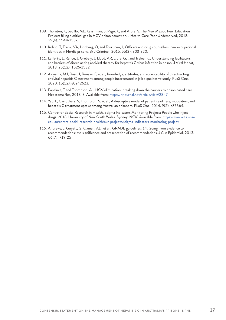- 109. Thornton, K, Sedillo, ML, Kalishman, S, Page, K, and Arora, S, The New Mexico Peer Education Project: filling a critical gap in HCV prison education. J Health Care Poor Underserved, 2018. 29(4): 1544-1557.
- 110. Kolind, T, Frank, VA, Lindberg, O, and Tourunen, J, Officers and drug counsellors: new occupational identities in Nordic prisons. Br J Criminol, 2015. 55(2): 303-320.
- 111. Lafferty, L, Rance, J, Grebely, J, Lloyd, AR, Dore, GJ, and Treloar, C, Understanding facilitators and barriers of direct-acting antiviral therapy for hepatitis C virus infection in prison. J Viral Hepat, 2018. 25(12): 1526-1532.
- 112. Akiyama, MJ, Ross, J, Rimawi, F, et al., Knowledge, attitudes, and acceptability of direct-acting antiviral hepatitis C treatment among people incarcerated in jail: a qualitative study. PLoS One, 2020. 15(12): e0242623.
- 113. Papaluca, T and Thompson, AJ. HCV elimination: breaking down the barriers to prison based care. Hepatoma Res, 2018. 8. Available from: <https://hrjournal.net/article/view/2847>
- 114. Yap, L, Carruthers, S, Thompson, S, et al., A descriptive model of patient readiness, motivators, and hepatitis C treatment uptake among Australian prisoners. PLoS One, 2014. 9(2): e87564.
- 115. Centre for Social Research in Health. Stigma Indicators Monitoring Project: People who inject drugs. 2018. University of New South Wales. Sydney, NSW. Available from: [https://www.arts.unsw.](https://www.arts.unsw.edu.au/centre-social-research-health/our-projects/stigma-indicators-monitoring-project) [edu.au/centre-social-research-health/our-projects/stigma-indicators-monitoring-project](https://www.arts.unsw.edu.au/centre-social-research-health/our-projects/stigma-indicators-monitoring-project)
- 116. Andrews, J, Guyatt, G, Oxman, AD, et al., GRADE guidelines: 14. Going from evidence to recommendations: the significance and presentation of recommendations. J Clin Epidemiol, 2013. 66(7): 719-25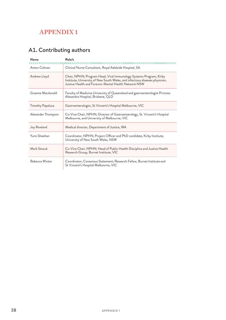# <span id="page-37-0"></span>**APPENDIX 1**

# A1. Contributing authors

| Name                    | Role/s                                                                                                                                                                                                      |  |
|-------------------------|-------------------------------------------------------------------------------------------------------------------------------------------------------------------------------------------------------------|--|
| Anton Colman            | Clinical Nurse Consultant, Royal Adelaide Hospital, SA                                                                                                                                                      |  |
| Andrew Lloyd            | Chair, NPHN; Program Head, Viral Immunology Systems Program, Kirby<br>Institute, University of New South Wales, and infectious diseases physician,<br>Justice Health and Forensic Mental Health Network NSW |  |
| Graeme Macdonald        | Faculty of Medicine University of Queensland and gastroenterologist Princess<br>Alexandra Hospital, Brisbane, QLD                                                                                           |  |
| <b>Timothy Papaluca</b> | Gastroenterologist, St Vincent's Hospital Melbourne, VIC                                                                                                                                                    |  |
| Alexander Thompson      | Co-Vice Chair, NPHN; Director of Gastroenterology, St. Vincent's Hospital<br>Melbourne, and University of Melbourne, VIC                                                                                    |  |
| Joy Rowland             | Medical director, Department of Justice, WA                                                                                                                                                                 |  |
| Yumi Sheehan            | Coordinator, NPHN; Project Officer and PhD candidate, Kirby Institute,<br>University of New South Wales, NSW                                                                                                |  |
| Mark Stoové             | Co-Vice Chair, NPHN; Head of Public Health Discipline and Justice Health<br>Research Group, Burnet Institute, VIC                                                                                           |  |
| Rebecca Winter          | Coordinator, Consensus Statement; Research Fellow, Burnet Institute and<br>St Vincent's Hospital Melbourne, VIC                                                                                             |  |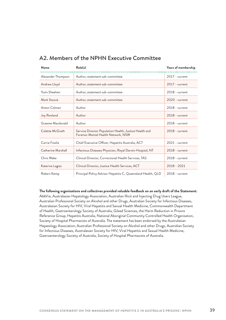| Name               | Role(s)                                                                                       | Years of membership |
|--------------------|-----------------------------------------------------------------------------------------------|---------------------|
| Alexander Thompson | Author, statement sub-committee                                                               | $2017$ - current    |
| Andrew Lloyd       | Author, statement sub-committee                                                               | $2017$ - current    |
| Yumi Sheehan       | Author, statement sub-committee                                                               | $2018$ - current    |
| Mark Stoové        | Author, statement sub-committee                                                               | 2020 - current      |
| Anton Colman       | Author                                                                                        | $2018$ - current    |
| Joy Rowland        | Author                                                                                        | $2018$ - current    |
| Graeme Macdonald   | Author                                                                                        | $2018$ - current    |
| Colette McGrath    | Service Director Population Health, Justice Health and<br>Forensic Mental Health Network, NSW | $2018$ - current    |
| Carrie Fowlie      | Chief Executive Officer, Hepatitis Australia, ACT                                             | $2021$ - current    |
| Catherine Marshall | Infectious Diseases Physician, Royal Darwin Hospital, NT                                      | $2018$ - current    |
| Chris Wake         | Clinical Director, Correctional Health Services, TAS                                          | $2018$ - current    |
| Katerina Lagios    | Clinical Director, Justice Health Services, ACT                                               | 2018 - 2021         |
| Robert Kemp        | Principal Policy Advisor Hepatitis C, Queensland Health, QLD                                  | 2018 - current      |

# A2. Members of the NPHN Executive Committee

**The following organisations and collectives provided valuable feedback on an early draft of the Statement:**  AbbVie, Australasian Hepatology Association, Australian Illicit and Injecting Drug Users League, Australian Professional Society on Alcohol and other Drugs, Australian Society for Infectious Diseases, Australasian Society for HIV, Viral Hepatitis and Sexual Health Medicine, Commonwealth Department of Health, Gastroenterology Society of Australia, Gilead Sciences, the Harm Reduction in Prisons Reference Group, Hepatitis Australia, National Aboriginal Community Controlled Health Organisation, Society of Hospital Pharmacists of Australia. The statement has been endorsed by the Australasian Hepatology Association, Australian Professional Society on Alcohol and other Drugs, Australian Society for Infectious Diseases, Australasian Society for HIV, Viral Hepatitis and Sexual Health Medicine, Gastroenterology Society of Australia, Society of Hospital Pharmacists of Australia.